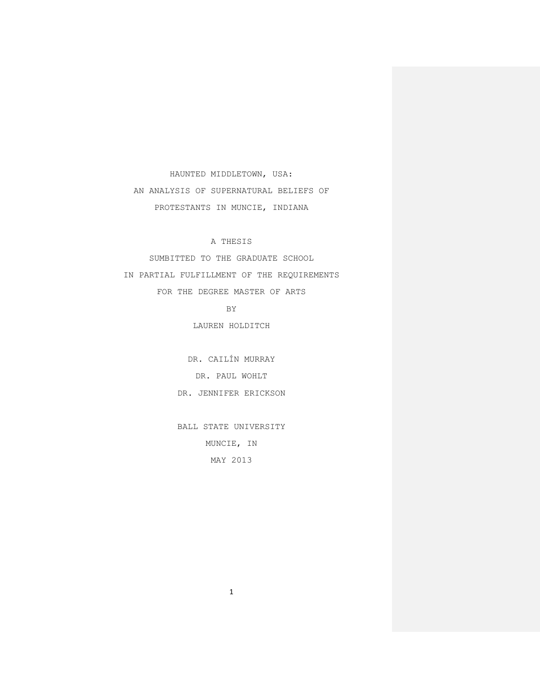HAUNTED MIDDLETOWN, USA: AN ANALYSIS OF SUPERNATURAL BELIEFS OF PROTESTANTS IN MUNCIE, INDIANA

A THESIS

SUMBITTED TO THE GRADUATE SCHOOL IN PARTIAL FULFILLMENT OF THE REQUIREMENTS FOR THE DEGREE MASTER OF ARTS

BY

LAUREN HOLDITCH

DR. CAILÍN MURRAY DR. PAUL WOHLT DR. JENNIFER ERICKSON

BALL STATE UNIVERSITY MUNCIE, IN MAY 2013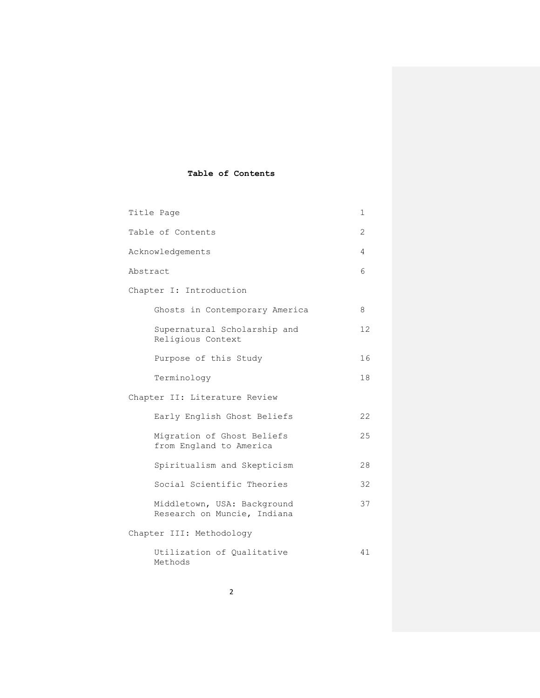# **Table of Contents**

| Title Page                    |                                                            |    |  |
|-------------------------------|------------------------------------------------------------|----|--|
| Table of Contents             |                                                            |    |  |
| Acknowledgements              |                                                            |    |  |
| Abstract                      |                                                            |    |  |
| Chapter I: Introduction       |                                                            |    |  |
|                               | Ghosts in Contemporary America                             | 8  |  |
| Religious Context             | Supernatural Scholarship and                               | 12 |  |
|                               | Purpose of this Study                                      | 16 |  |
| Terminology                   |                                                            | 18 |  |
| Chapter II: Literature Review |                                                            |    |  |
|                               | Early English Ghost Beliefs                                | 22 |  |
|                               | Migration of Ghost Beliefs<br>from England to America      | 25 |  |
|                               | Spiritualism and Skepticism                                | 28 |  |
|                               | Social Scientific Theories                                 | 32 |  |
|                               | Middletown, USA: Background<br>Research on Muncie, Indiana | 37 |  |
| Chapter III: Methodology      |                                                            |    |  |
| Methods                       | Utilization of Qualitative                                 | 41 |  |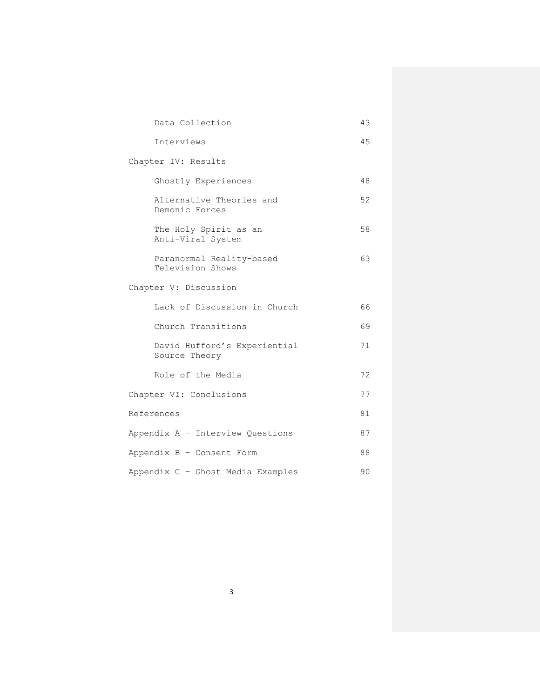|                                   | Data Collection                               | 43 |  |
|-----------------------------------|-----------------------------------------------|----|--|
|                                   | Interviews                                    | 45 |  |
| Chapter IV: Results               |                                               |    |  |
|                                   | Ghostly Experiences                           | 48 |  |
|                                   | Alternative Theories and<br>Demonic Forces    | 52 |  |
|                                   | The Holy Spirit as an<br>Anti-Viral System    | 58 |  |
|                                   | Paranormal Reality-based<br>Television Shows  | 63 |  |
| Chapter V: Discussion             |                                               |    |  |
|                                   | Lack of Discussion in Church                  | 66 |  |
|                                   | Church Transitions                            | 69 |  |
|                                   | David Hufford's Experiential<br>Source Theory | 71 |  |
|                                   | Role of the Media                             | 72 |  |
| Chapter VI: Conclusions           |                                               | 77 |  |
| References                        |                                               | 81 |  |
| Appendix A - Interview Questions  |                                               | 87 |  |
| Appendix B - Consent Form         |                                               | 88 |  |
| Appendix C - Ghost Media Examples |                                               |    |  |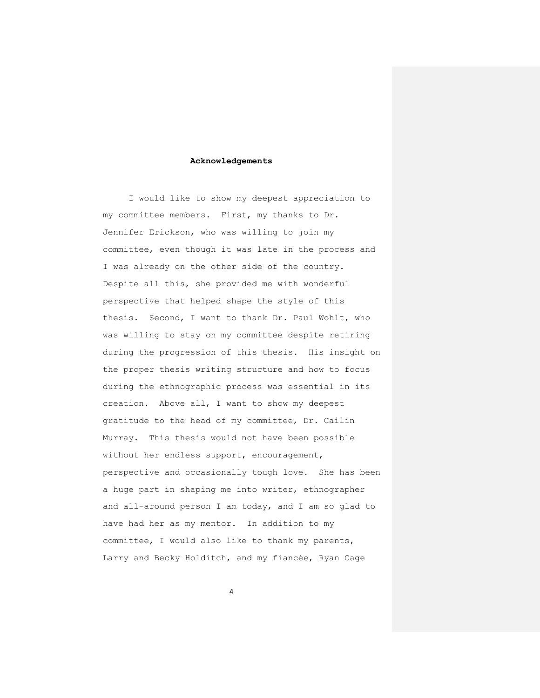### **Acknowledgements**

I would like to show my deepest appreciation to my committee members. First, my thanks to Dr. Jennifer Erickson, who was willing to join my committee, even though it was late in the process and I was already on the other side of the country. Despite all this, she provided me with wonderful perspective that helped shape the style of this thesis. Second, I want to thank Dr. Paul Wohlt, who was willing to stay on my committee despite retiring during the progression of this thesis. His insight on the proper thesis writing structure and how to focus during the ethnographic process was essential in its creation. Above all, I want to show my deepest gratitude to the head of my committee, Dr. Cailin Murray. This thesis would not have been possible without her endless support, encouragement, perspective and occasionally tough love. She has been a huge part in shaping me into writer, ethnographer and all-around person I am today, and I am so glad to have had her as my mentor. In addition to my committee, I would also like to thank my parents, Larry and Becky Holditch, and my fiancée, Ryan Cage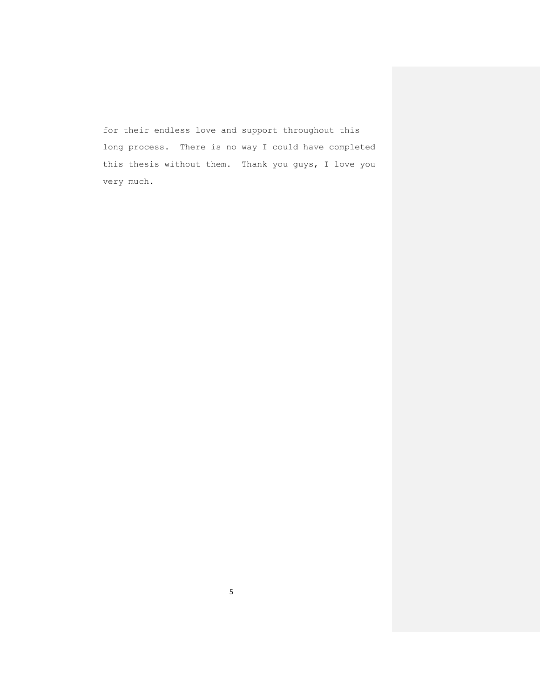for their endless love and support throughout this long process. There is no way I could have completed this thesis without them. Thank you guys, I love you very much.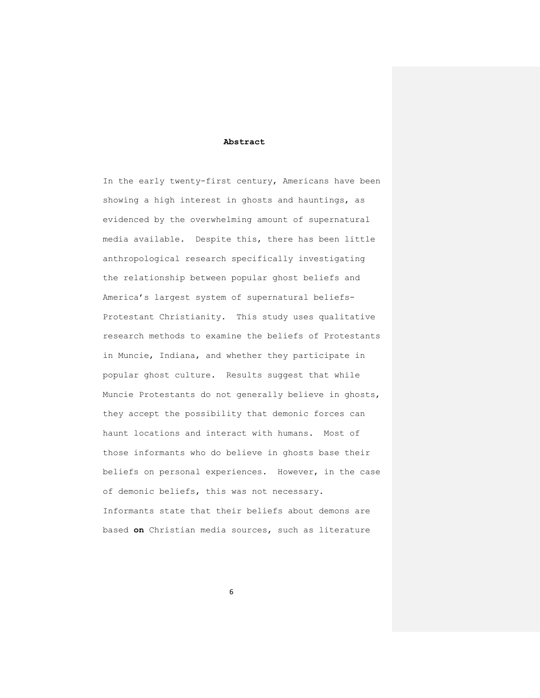### **Abstract**

In the early twenty-first century, Americans have been showing a high interest in ghosts and hauntings, as evidenced by the overwhelming amount of supernatural media available. Despite this, there has been little anthropological research specifically investigating the relationship between popular ghost beliefs and America's largest system of supernatural beliefs-Protestant Christianity. This study uses qualitative research methods to examine the beliefs of Protestants in Muncie, Indiana, and whether they participate in popular ghost culture. Results suggest that while Muncie Protestants do not generally believe in ghosts, they accept the possibility that demonic forces can haunt locations and interact with humans. Most of those informants who do believe in ghosts base their beliefs on personal experiences. However, in the case of demonic beliefs, this was not necessary. Informants state that their beliefs about demons are based **on** Christian media sources, such as literature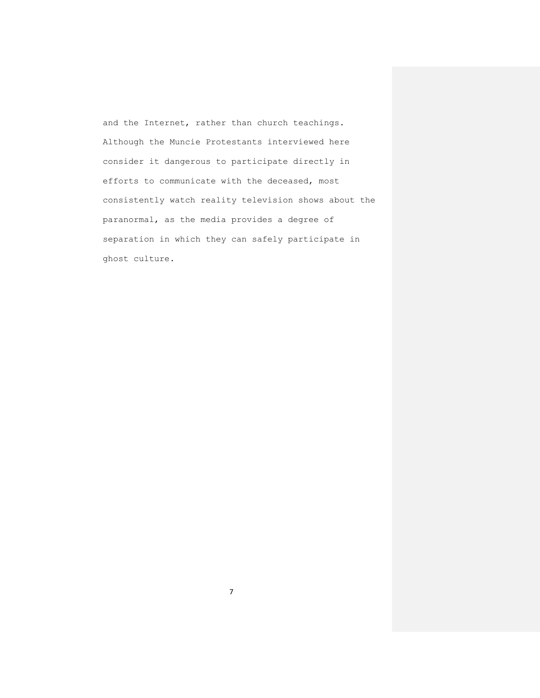and the Internet, rather than church teachings. Although the Muncie Protestants interviewed here consider it dangerous to participate directly in efforts to communicate with the deceased, most consistently watch reality television shows about the paranormal, as the media provides a degree of separation in which they can safely participate in ghost culture.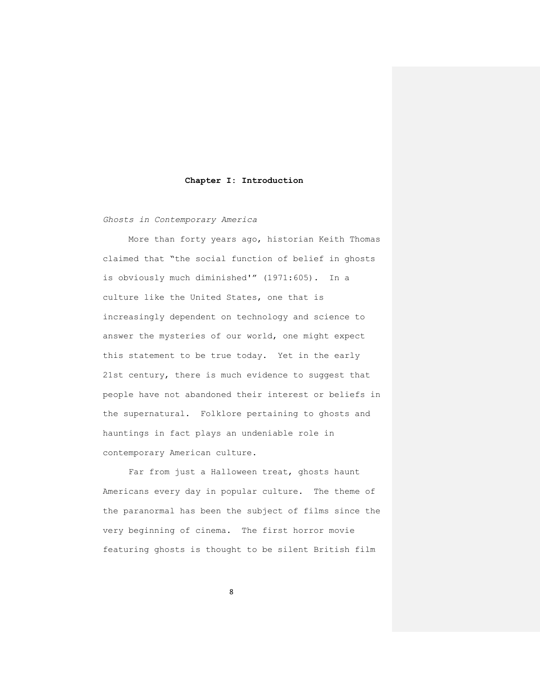#### **Chapter I: Introduction**

*Ghosts in Contemporary America*

More than forty years ago, historian Keith Thomas claimed that "the social function of belief in ghosts is obviously much diminished'" (1971:605). In a culture like the United States, one that is increasingly dependent on technology and science to answer the mysteries of our world, one might expect this statement to be true today. Yet in the early 21st century, there is much evidence to suggest that people have not abandoned their interest or beliefs in the supernatural. Folklore pertaining to ghosts and hauntings in fact plays an undeniable role in contemporary American culture.

Far from just a Halloween treat, ghosts haunt Americans every day in popular culture. The theme of the paranormal has been the subject of films since the very beginning of cinema. The first horror movie featuring ghosts is thought to be silent British film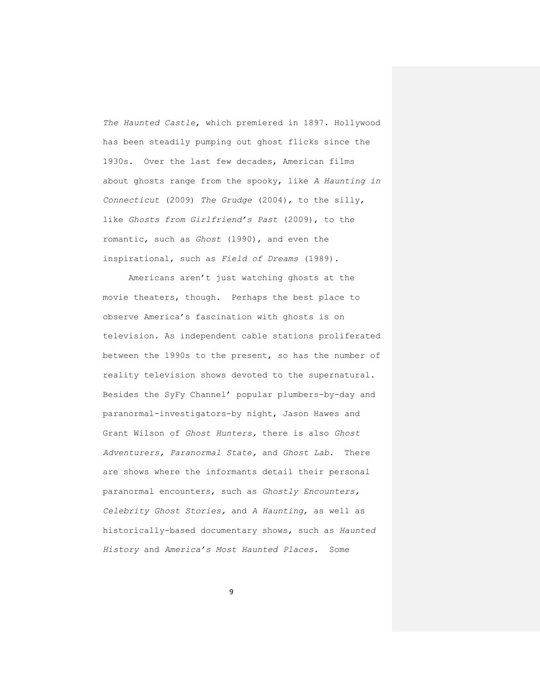*The Haunted Castle*, which premiered in 1897. Hollywood has been steadily pumping out ghost flicks since the 1930s. Over the last few decades, American films about ghosts range from the spooky, like *A Haunting in Connecticut* (2009) *The Grudge* (2004), to the silly, like *Ghosts from Girlfriend's Past* (2009), to the romantic, such as *Ghost* (1990), and even the inspirational, such as *Field of Dreams* (1989).

Americans aren't just watching ghosts at the movie theaters, though. Perhaps the best place to observe America's fascination with ghosts is on television. As independent cable stations proliferated between the 1990s to the present, so has the number of reality television shows devoted to the supernatural. Besides the SyFy Channel' popular plumbers-by-day and paranormal-investigators-by night, Jason Hawes and Grant Wilson of *Ghost Hunters,* there is also *Ghost Adventurers, Paranormal State,* and *Ghost Lab*. There are shows where the informants detail their personal paranormal encounters, such as *Ghostly Encounters, Celebrity Ghost Stories,* and *A Haunting*, as well as historically-based documentary shows, such as *Haunted History* and *America's Most Haunted Places*. Some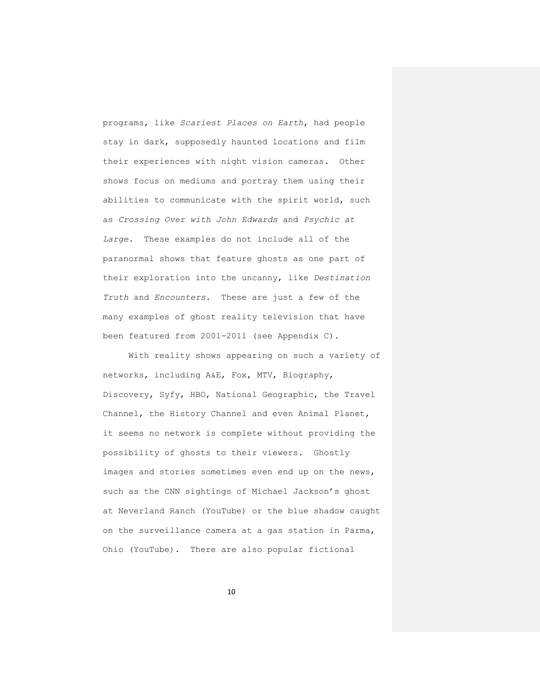programs, like *Scariest Places on Earth*, had people stay in dark, supposedly haunted locations and film their experiences with night vision cameras. Other shows focus on mediums and portray them using their abilities to communicate with the spirit world, such as *Crossing Over with John Edwards* and *Psychic at Large.* These examples do not include all of the paranormal shows that feature ghosts as one part of their exploration into the uncanny, like *Destination Truth* and *Encounters*. These are just a few of the many examples of ghost reality television that have been featured from 2001-2011 (see Appendix C).

With reality shows appearing on such a variety of networks, including A&E, Fox, MTV, Biography, Discovery, Syfy, HBO, National Geographic, the Travel Channel, the History Channel and even Animal Planet, it seems no network is complete without providing the possibility of ghosts to their viewers. Ghostly images and stories sometimes even end up on the news, such as the CNN sightings of Michael Jackson's ghost at Neverland Ranch (YouTube) or the blue shadow caught on the surveillance camera at a gas station in Parma, Ohio (YouTube). There are also popular fictional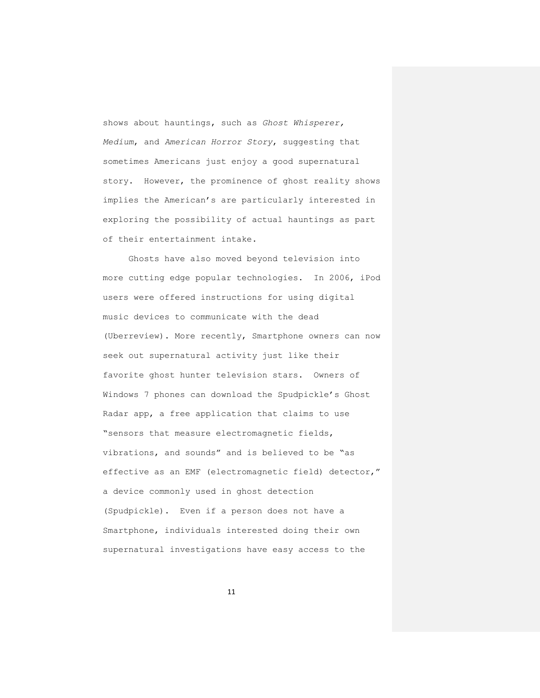shows about hauntings, such as *Ghost Whisperer, Medium*, and *American Horror Story*, suggesting that sometimes Americans just enjoy a good supernatural story. However, the prominence of ghost reality shows implies the American's are particularly interested in exploring the possibility of actual hauntings as part of their entertainment intake.

Ghosts have also moved beyond television into more cutting edge popular technologies. In 2006, iPod users were offered instructions for using digital music devices to communicate with the dead (Uberreview). More recently, Smartphone owners can now seek out supernatural activity just like their favorite ghost hunter television stars. Owners of Windows 7 phones can download the Spudpickle's Ghost Radar app, a free application that claims to use "sensors that measure electromagnetic fields, vibrations, and sounds" and is believed to be "as effective as an EMF (electromagnetic field) detector," a device commonly used in ghost detection (Spudpickle). Even if a person does not have a Smartphone, individuals interested doing their own supernatural investigations have easy access to the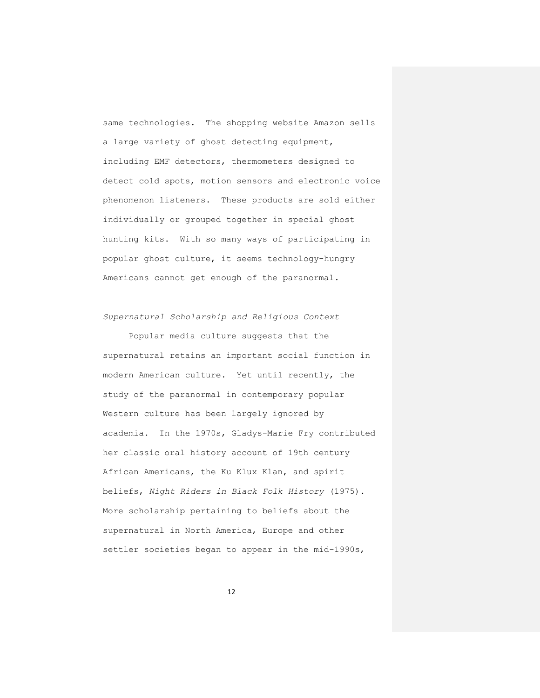same technologies. The shopping website Amazon sells a large variety of ghost detecting equipment, including EMF detectors, thermometers designed to detect cold spots, motion sensors and electronic voice phenomenon listeners. These products are sold either individually or grouped together in special ghost hunting kits. With so many ways of participating in popular ghost culture, it seems technology-hungry Americans cannot get enough of the paranormal.

# *Supernatural Scholarship and Religious Context*

Popular media culture suggests that the supernatural retains an important social function in modern American culture. Yet until recently, the study of the paranormal in contemporary popular Western culture has been largely ignored by academia. In the 1970s, Gladys-Marie Fry contributed her classic oral history account of 19th century African Americans, the Ku Klux Klan, and spirit beliefs, *Night Riders in Black Folk History* (1975). More scholarship pertaining to beliefs about the supernatural in North America, Europe and other settler societies began to appear in the mid-1990s,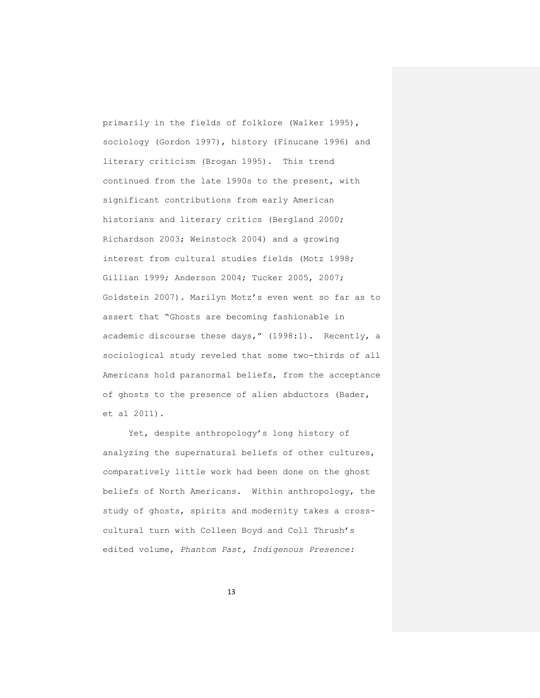primarily in the fields of folklore (Walker 1995), sociology (Gordon 1997), history (Finucane 1996) and literary criticism (Brogan 1995). This trend continued from the late 1990s to the present, with significant contributions from early American historians and literary critics (Bergland 2000; Richardson 2003; Weinstock 2004) and a growing interest from cultural studies fields (Motz 1998; Gillian 1999; Anderson 2004; Tucker 2005, 2007; Goldstein 2007). Marilyn Motz's even went so far as to assert that "Ghosts are becoming fashionable in academic discourse these days," (1998:1). Recently, a sociological study reveled that some two-thirds of all Americans hold paranormal beliefs, from the acceptance of ghosts to the presence of alien abductors (Bader, et al 2011).

Yet, despite anthropology's long history of analyzing the supernatural beliefs of other cultures, comparatively little work had been done on the ghost beliefs of North Americans. Within anthropology, the study of ghosts, spirits and modernity takes a crosscultural turn with Colleen Boyd and Coll Thrush's edited volume, *Phantom Past, Indigenous Presence:*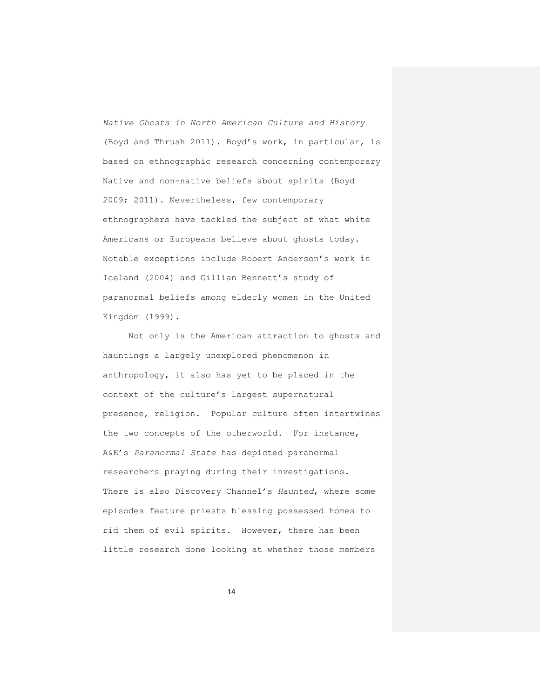*Native Ghosts in North American Culture and History* (Boyd and Thrush 2011). Boyd's work, in particular, is based on ethnographic research concerning contemporary Native and non-native beliefs about spirits (Boyd 2009; 2011). Nevertheless, few contemporary ethnographers have tackled the subject of what white Americans or Europeans believe about ghosts today. Notable exceptions include Robert Anderson's work in Iceland (2004) and Gillian Bennett's study of paranormal beliefs among elderly women in the United Kingdom (1999).

Not only is the American attraction to ghosts and hauntings a largely unexplored phenomenon in anthropology, it also has yet to be placed in the context of the culture's largest supernatural presence, religion. Popular culture often intertwines the two concepts of the otherworld. For instance, A&E's *Paranormal State* has depicted paranormal researchers praying during their investigations. There is also Discovery Channel's *Haunted*, where some episodes feature priests blessing possessed homes to rid them of evil spirits. However, there has been little research done looking at whether those members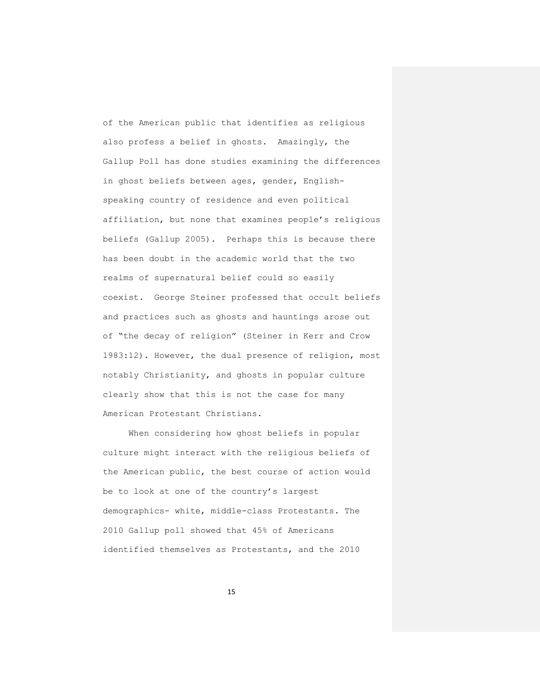of the American public that identifies as religious also profess a belief in ghosts. Amazingly, the Gallup Poll has done studies examining the differences in ghost beliefs between ages, gender, Englishspeaking country of residence and even political affiliation, but none that examines people's religious beliefs (Gallup 2005). Perhaps this is because there has been doubt in the academic world that the two realms of supernatural belief could so easily coexist. George Steiner professed that occult beliefs and practices such as ghosts and hauntings arose out of "the decay of religion" (Steiner in Kerr and Crow 1983:12). However, the dual presence of religion, most notably Christianity, and ghosts in popular culture clearly show that this is not the case for many American Protestant Christians.

When considering how ghost beliefs in popular culture might interact with the religious beliefs of the American public, the best course of action would be to look at one of the country's largest demographics- white, middle-class Protestants. The 2010 Gallup poll showed that 45% of Americans identified themselves as Protestants, and the 2010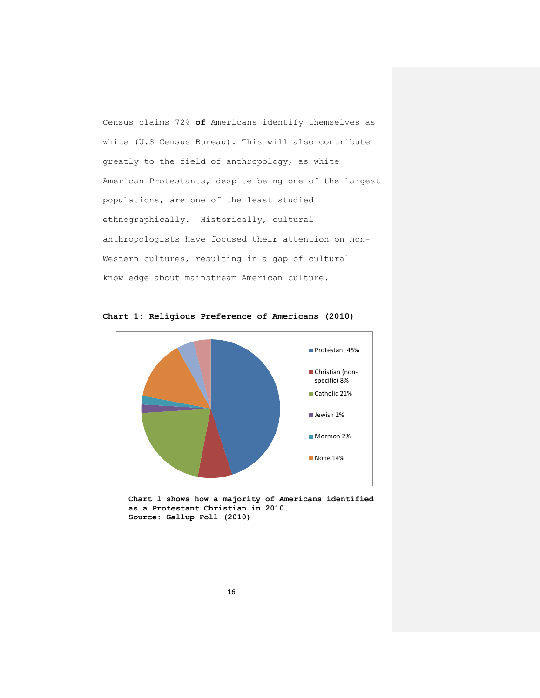Census claims 72% **of** Americans identify themselves as white (U.S Census Bureau). This will also contribute greatly to the field of anthropology, as white American Protestants, despite being one of the largest populations, are one of the least studied ethnographically. Historically, cultural anthropologists have focused their attention on non-Western cultures, resulting in a gap of cultural knowledge about mainstream American culture.



**Chart 1: Religious Preference of Americans (2010)**

**Chart 1 shows how a majority of Americans identified as a Protestant Christian in 2010. Source: Gallup Poll (2010)**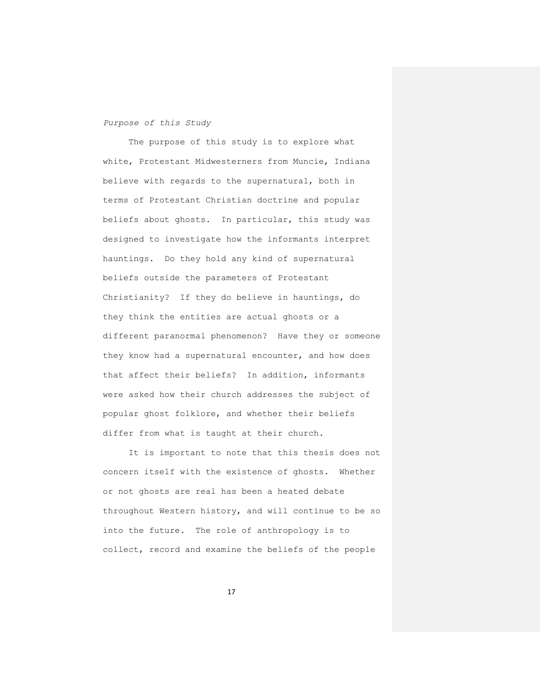### *Purpose of this Study*

The purpose of this study is to explore what white, Protestant Midwesterners from Muncie, Indiana believe with regards to the supernatural, both in terms of Protestant Christian doctrine and popular beliefs about ghosts. In particular, this study was designed to investigate how the informants interpret hauntings. Do they hold any kind of supernatural beliefs outside the parameters of Protestant Christianity? If they do believe in hauntings, do they think the entities are actual ghosts or a different paranormal phenomenon? Have they or someone they know had a supernatural encounter, and how does that affect their beliefs? In addition, informants were asked how their church addresses the subject of popular ghost folklore, and whether their beliefs differ from what is taught at their church.

It is important to note that this thesis does not concern itself with the existence of ghosts. Whether or not ghosts are real has been a heated debate throughout Western history, and will continue to be so into the future. The role of anthropology is to collect, record and examine the beliefs of the people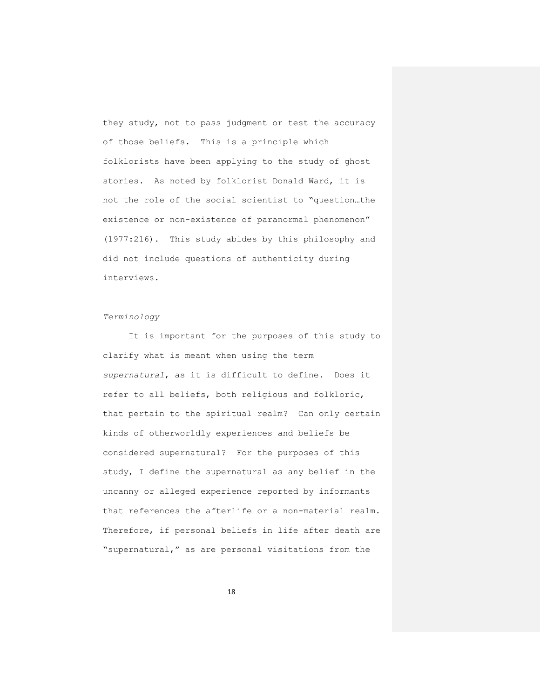they study, not to pass judgment or test the accuracy of those beliefs. This is a principle which folklorists have been applying to the study of ghost stories. As noted by folklorist Donald Ward, it is not the role of the social scientist to "question…the existence or non-existence of paranormal phenomenon" (1977:216). This study abides by this philosophy and did not include questions of authenticity during interviews.

### *Terminology*

It is important for the purposes of this study to clarify what is meant when using the term *supernatural*, as it is difficult to define. Does it refer to all beliefs, both religious and folkloric, that pertain to the spiritual realm? Can only certain kinds of otherworldly experiences and beliefs be considered supernatural? For the purposes of this study, I define the supernatural as any belief in the uncanny or alleged experience reported by informants that references the afterlife or a non-material realm. Therefore, if personal beliefs in life after death are "supernatural," as are personal visitations from the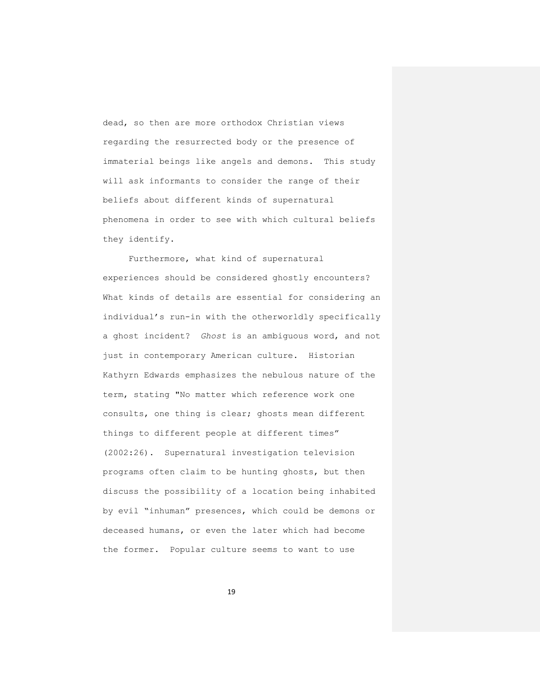dead, so then are more orthodox Christian views regarding the resurrected body or the presence of immaterial beings like angels and demons. This study will ask informants to consider the range of their beliefs about different kinds of supernatural phenomena in order to see with which cultural beliefs they identify.

Furthermore, what kind of supernatural experiences should be considered ghostly encounters? What kinds of details are essential for considering an individual's run-in with the otherworldly specifically a ghost incident? *Ghost* is an ambiguous word, and not just in contemporary American culture. Historian Kathyrn Edwards emphasizes the nebulous nature of the term, stating "No matter which reference work one consults, one thing is clear; ghosts mean different things to different people at different times" (2002:26). Supernatural investigation television programs often claim to be hunting ghosts, but then discuss the possibility of a location being inhabited by evil "inhuman" presences, which could be demons or deceased humans, or even the later which had become the former. Popular culture seems to want to use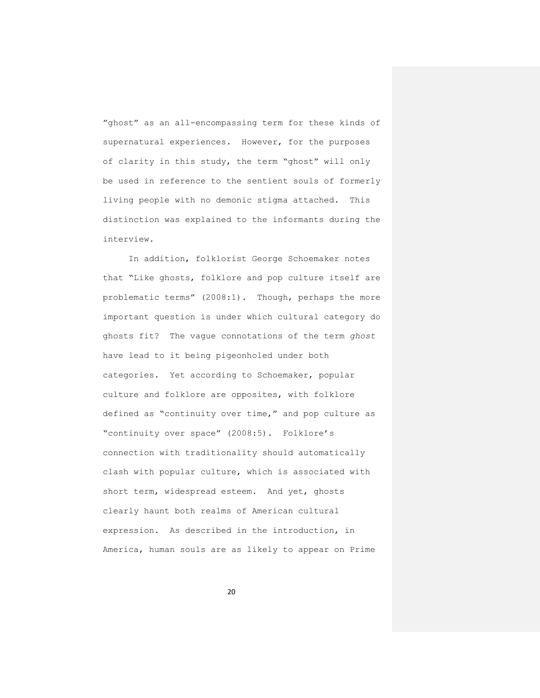"ghost" as an all-encompassing term for these kinds of supernatural experiences. However, for the purposes of clarity in this study, the term "ghost" will only be used in reference to the sentient souls of formerly living people with no demonic stigma attached. This distinction was explained to the informants during the interview.

In addition, folklorist George Schoemaker notes that "Like ghosts, folklore and pop culture itself are problematic terms" (2008:1). Though, perhaps the more important question is under which cultural category do ghosts fit? The vague connotations of the term *ghost* have lead to it being pigeonholed under both categories. Yet according to Schoemaker, popular culture and folklore are opposites, with folklore defined as "continuity over time," and pop culture as "continuity over space" (2008:5). Folklore's connection with traditionality should automatically clash with popular culture, which is associated with short term, widespread esteem. And yet, ghosts clearly haunt both realms of American cultural expression. As described in the introduction, in America, human souls are as likely to appear on Prime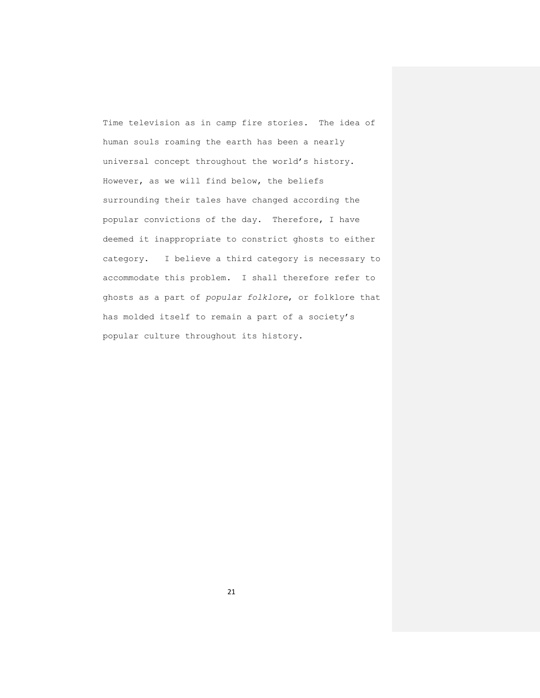Time television as in camp fire stories. The idea of human souls roaming the earth has been a nearly universal concept throughout the world's history. However, as we will find below, the beliefs surrounding their tales have changed according the popular convictions of the day. Therefore, I have deemed it inappropriate to constrict ghosts to either category. I believe a third category is necessary to accommodate this problem. I shall therefore refer to ghosts as a part of *popular folklore*, or folklore that has molded itself to remain a part of a society's popular culture throughout its history.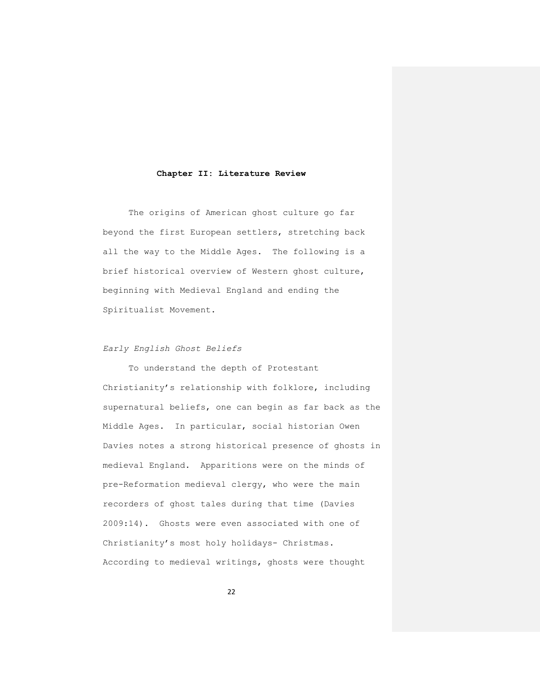### **Chapter II: Literature Review**

The origins of American ghost culture go far beyond the first European settlers, stretching back all the way to the Middle Ages. The following is a brief historical overview of Western ghost culture, beginning with Medieval England and ending the Spiritualist Movement.

## *Early English Ghost Beliefs*

To understand the depth of Protestant Christianity's relationship with folklore, including supernatural beliefs, one can begin as far back as the Middle Ages. In particular, social historian Owen Davies notes a strong historical presence of ghosts in medieval England. Apparitions were on the minds of pre-Reformation medieval clergy, who were the main recorders of ghost tales during that time (Davies 2009:14). Ghosts were even associated with one of Christianity's most holy holidays- Christmas. According to medieval writings, ghosts were thought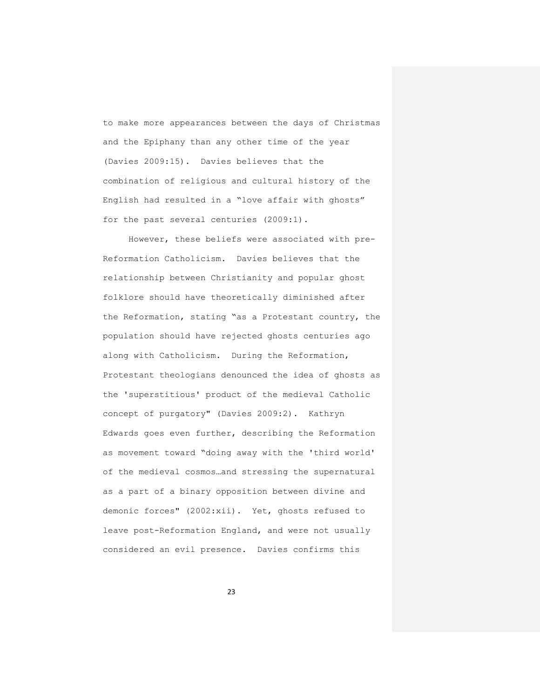to make more appearances between the days of Christmas and the Epiphany than any other time of the year (Davies 2009:15). Davies believes that the combination of religious and cultural history of the English had resulted in a "love affair with ghosts" for the past several centuries (2009:1).

However, these beliefs were associated with pre-Reformation Catholicism. Davies believes that the relationship between Christianity and popular ghost folklore should have theoretically diminished after the Reformation, stating "as a Protestant country, the population should have rejected ghosts centuries ago along with Catholicism. During the Reformation, Protestant theologians denounced the idea of ghosts as the 'superstitious' product of the medieval Catholic concept of purgatory" (Davies 2009:2). Kathryn Edwards goes even further, describing the Reformation as movement toward "doing away with the 'third world' of the medieval cosmos…and stressing the supernatural as a part of a binary opposition between divine and demonic forces" (2002:xii). Yet, ghosts refused to leave post-Reformation England, and were not usually considered an evil presence. Davies confirms this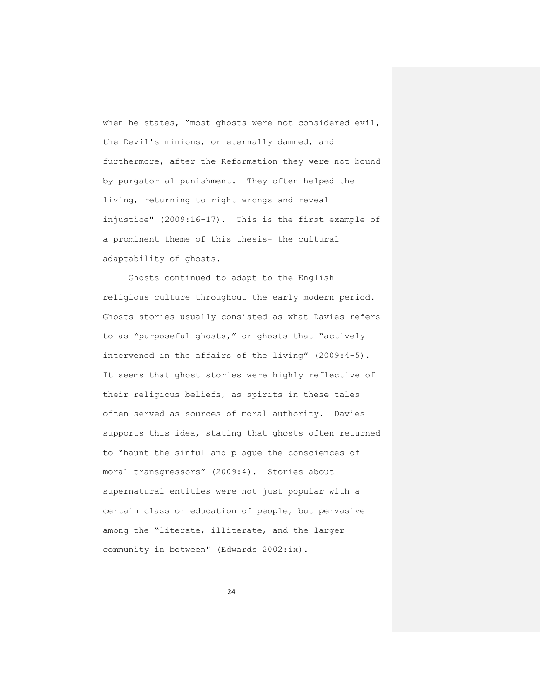when he states, "most ghosts were not considered evil, the Devil's minions, or eternally damned, and furthermore, after the Reformation they were not bound by purgatorial punishment. They often helped the living, returning to right wrongs and reveal injustice" (2009:16-17). This is the first example of a prominent theme of this thesis- the cultural adaptability of ghosts.

Ghosts continued to adapt to the English religious culture throughout the early modern period. Ghosts stories usually consisted as what Davies refers to as "purposeful ghosts," or ghosts that "actively intervened in the affairs of the living" (2009:4-5). It seems that ghost stories were highly reflective of their religious beliefs, as spirits in these tales often served as sources of moral authority. Davies supports this idea, stating that ghosts often returned to "haunt the sinful and plague the consciences of moral transgressors" (2009:4). Stories about supernatural entities were not just popular with a certain class or education of people, but pervasive among the "literate, illiterate, and the larger community in between" (Edwards 2002:ix).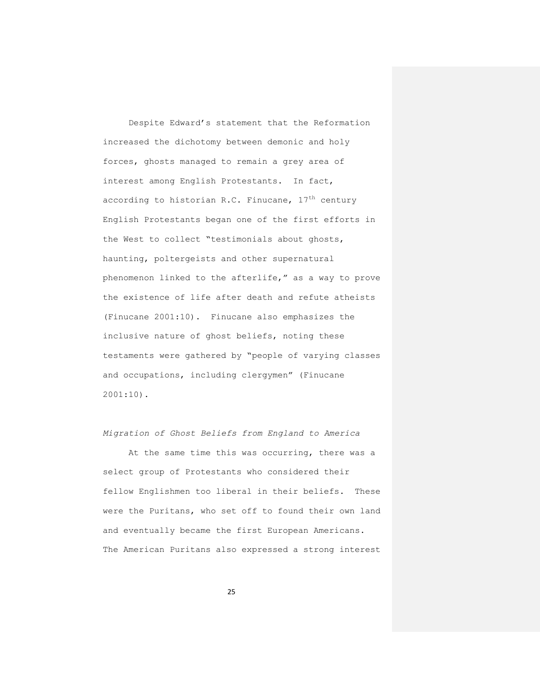Despite Edward's statement that the Reformation increased the dichotomy between demonic and holy forces, ghosts managed to remain a grey area of interest among English Protestants. In fact, according to historian R.C. Finucane,  $17<sup>th</sup>$  century English Protestants began one of the first efforts in the West to collect "testimonials about ghosts, haunting, poltergeists and other supernatural phenomenon linked to the afterlife," as a way to prove the existence of life after death and refute atheists (Finucane 2001:10). Finucane also emphasizes the inclusive nature of ghost beliefs, noting these testaments were gathered by "people of varying classes and occupations, including clergymen" (Finucane 2001:10).

### *Migration of Ghost Beliefs from England to America*

At the same time this was occurring, there was a select group of Protestants who considered their fellow Englishmen too liberal in their beliefs. These were the Puritans, who set off to found their own land and eventually became the first European Americans. The American Puritans also expressed a strong interest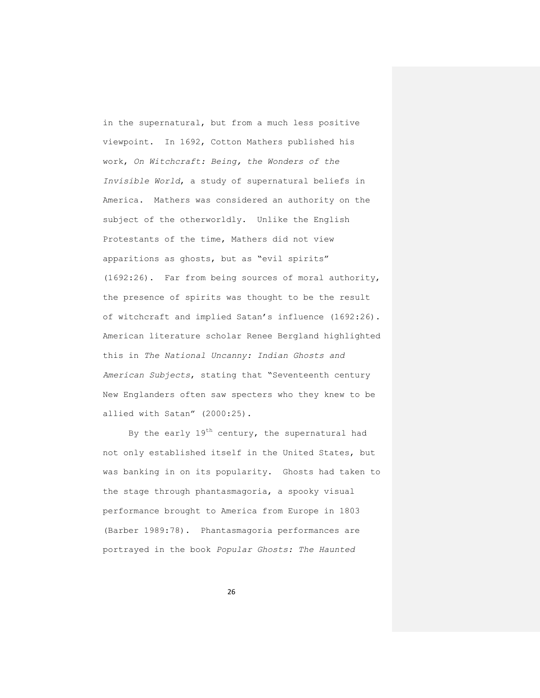in the supernatural, but from a much less positive viewpoint. In 1692, Cotton Mathers published his work, *On Witchcraft: Being, the Wonders of the Invisible World*, a study of supernatural beliefs in America. Mathers was considered an authority on the subject of the otherworldly. Unlike the English Protestants of the time, Mathers did not view apparitions as ghosts, but as "evil spirits" (1692:26). Far from being sources of moral authority, the presence of spirits was thought to be the result of witchcraft and implied Satan's influence (1692:26). American literature scholar Renee Bergland highlighted this in *The National Uncanny: Indian Ghosts and American Subjects*, stating that "Seventeenth century New Englanders often saw specters who they knew to be allied with Satan" (2000:25).

By the early  $19^{th}$  century, the supernatural had not only established itself in the United States, but was banking in on its popularity. Ghosts had taken to the stage through phantasmagoria, a spooky visual performance brought to America from Europe in 1803 (Barber 1989:78). Phantasmagoria performances are portrayed in the book *[Popular Ghosts: The Haunted](http://www.amazon.com/Popular-Ghosts-Haunted-Everyday-Culture/dp/1441164014/ref=sr_1_1?s=books&ie=UTF8&qid=1314137920&sr=1-1)*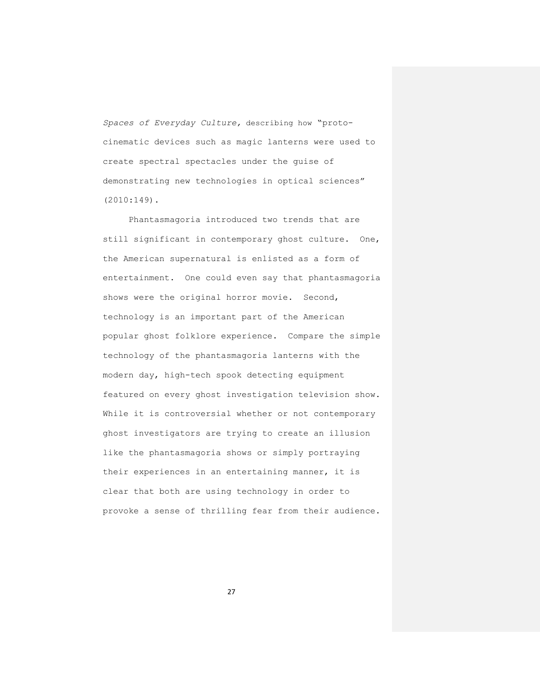*[Spaces of Everyday Culture](http://www.amazon.com/Popular-Ghosts-Haunted-Everyday-Culture/dp/1441164014/ref=sr_1_1?s=books&ie=UTF8&qid=1314137920&sr=1-1),* describing how "protocinematic devices such as magic lanterns were used to create spectral spectacles under the guise of demonstrating new technologies in optical sciences" (2010:149).

Phantasmagoria introduced two trends that are still significant in contemporary ghost culture. One, the American supernatural is enlisted as a form of entertainment. One could even say that phantasmagoria shows were the original horror movie. Second, technology is an important part of the American popular ghost folklore experience. Compare the simple technology of the phantasmagoria lanterns with the modern day, high-tech spook detecting equipment featured on every ghost investigation television show. While it is controversial whether or not contemporary ghost investigators are trying to create an illusion like the phantasmagoria shows or simply portraying their experiences in an entertaining manner, it is clear that both are using technology in order to provoke a sense of thrilling fear from their audience.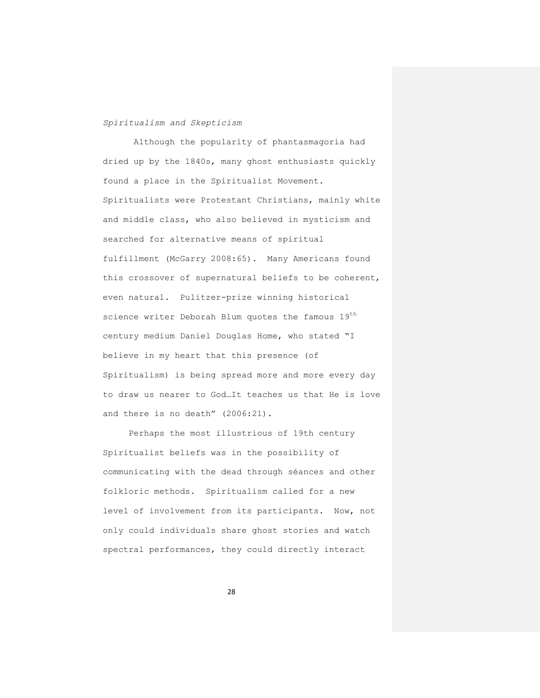### *Spiritualism and Skepticism*

Although the popularity of phantasmagoria had dried up by the 1840s, many ghost enthusiasts quickly found a place in the Spiritualist Movement. Spiritualists were Protestant Christians, mainly white and middle class, who also believed in mysticism and searched for alternative means of spiritual fulfillment (McGarry 2008:65). Many Americans found this crossover of supernatural beliefs to be coherent, even natural. Pulitzer-prize winning historical science writer Deborah Blum quotes the famous 19<sup>th</sup> century medium Daniel Douglas Home, who stated "I believe in my heart that this presence (of Spiritualism) is being spread more and more every day to draw us nearer to God…It teaches us that He is love and there is no death" (2006:21).

Perhaps the most illustrious of 19th century Spiritualist beliefs was in the possibility of communicating with the dead through séances and other folkloric methods. Spiritualism called for a new level of involvement from its participants. Now, not only could individuals share ghost stories and watch spectral performances, they could directly interact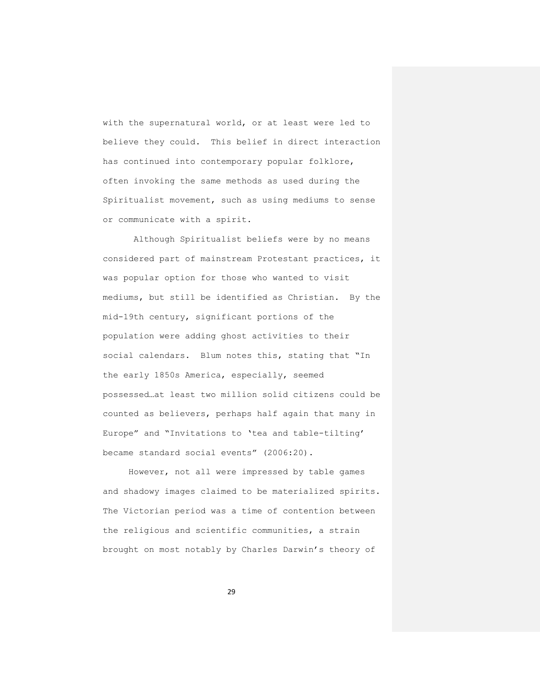with the supernatural world, or at least were led to believe they could. This belief in direct interaction has continued into contemporary popular folklore, often invoking the same methods as used during the Spiritualist movement, such as using mediums to sense or communicate with a spirit.

Although Spiritualist beliefs were by no means considered part of mainstream Protestant practices, it was popular option for those who wanted to visit mediums, but still be identified as Christian. By the mid-19th century, significant portions of the population were adding ghost activities to their social calendars. Blum notes this, stating that "In the early 1850s America, especially, seemed possessed…at least two million solid citizens could be counted as believers, perhaps half again that many in Europe" and "Invitations to 'tea and table-tilting' became standard social events" (2006:20).

However, not all were impressed by table games and shadowy images claimed to be materialized spirits. The Victorian period was a time of contention between the religious and scientific communities, a strain brought on most notably by Charles Darwin's theory of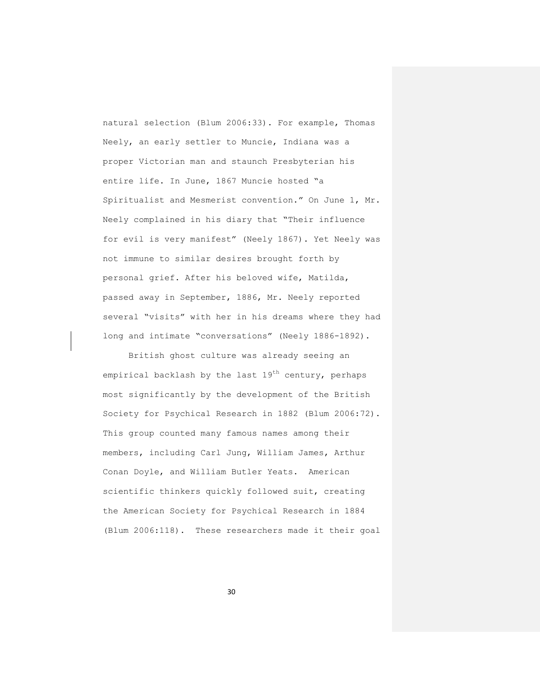natural selection (Blum 2006:33). For example, Thomas Neely, an early settler to Muncie, Indiana was a proper Victorian man and staunch Presbyterian his entire life. In June, 1867 Muncie hosted "a Spiritualist and Mesmerist convention." On June 1, Mr. Neely complained in his diary that "Their influence for evil is very manifest" (Neely 1867). Yet Neely was not immune to similar desires brought forth by personal grief. After his beloved wife, Matilda, passed away in September, 1886, Mr. Neely reported several "visits" with her in his dreams where they had long and intimate "conversations" (Neely 1886-1892).

British ghost culture was already seeing an empirical backlash by the last  $19^{th}$  century, perhaps most significantly by the development of the British Society for Psychical Research in 1882 (Blum 2006:72). This group counted many famous names among their members, including Carl Jung, William James, Arthur Conan Doyle, and William Butler Yeats. American scientific thinkers quickly followed suit, creating the American Society for Psychical Research in 1884 (Blum 2006:118). These researchers made it their goal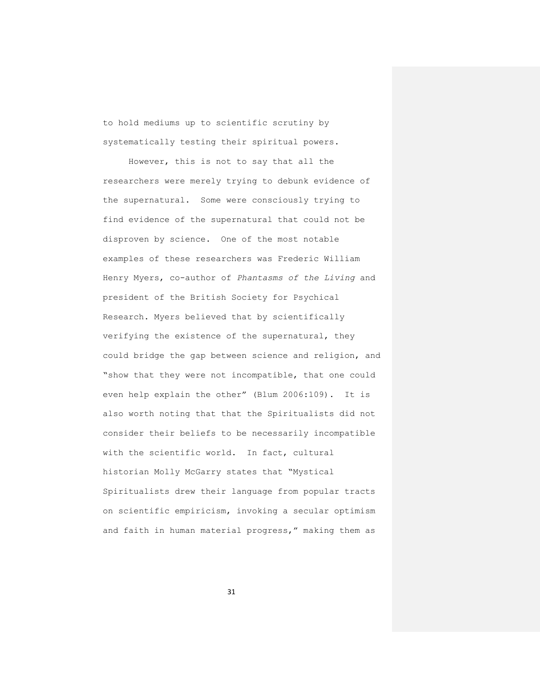to hold mediums up to scientific scrutiny by systematically testing their spiritual powers.

However, this is not to say that all the researchers were merely trying to debunk evidence of the supernatural. Some were consciously trying to find evidence of the supernatural that could not be disproven by science. One of the most notable examples of these researchers was Frederic William Henry Myers, co-author of *Phantasms of the Living* and president of the British Society for Psychical Research. Myers believed that by scientifically verifying the existence of the supernatural, they could bridge the gap between science and religion, and "show that they were not incompatible, that one could even help explain the other" (Blum 2006:109). It is also worth noting that that the Spiritualists did not consider their beliefs to be necessarily incompatible with the scientific world. In fact, cultural historian Molly McGarry states that "Mystical Spiritualists drew their language from popular tracts on scientific empiricism, invoking a secular optimism and faith in human material progress," making them as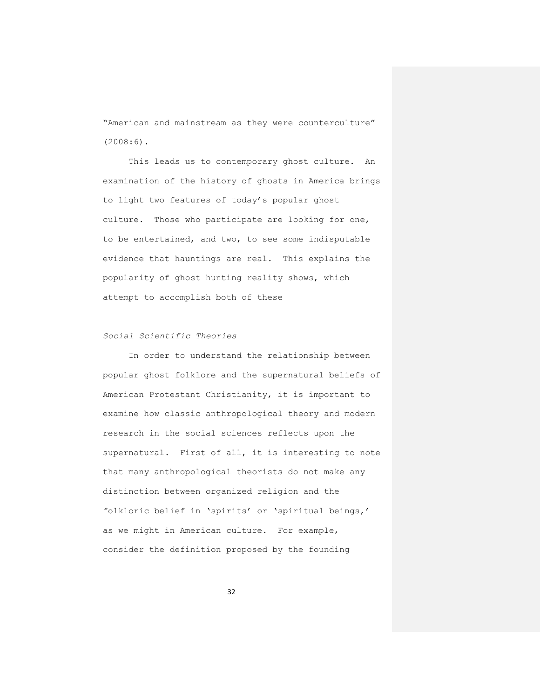"American and mainstream as they were counterculture" (2008:6).

This leads us to contemporary ghost culture. An examination of the history of ghosts in America brings to light two features of today's popular ghost culture. Those who participate are looking for one, to be entertained, and two, to see some indisputable evidence that hauntings are real. This explains the popularity of ghost hunting reality shows, which attempt to accomplish both of these

# *Social Scientific Theories*

In order to understand the relationship between popular ghost folklore and the supernatural beliefs of American Protestant Christianity, it is important to examine how classic anthropological theory and modern research in the social sciences reflects upon the supernatural. First of all, it is interesting to note that many anthropological theorists do not make any distinction between organized religion and the folkloric belief in 'spirits' or 'spiritual beings,' as we might in American culture. For example, consider the definition proposed by the founding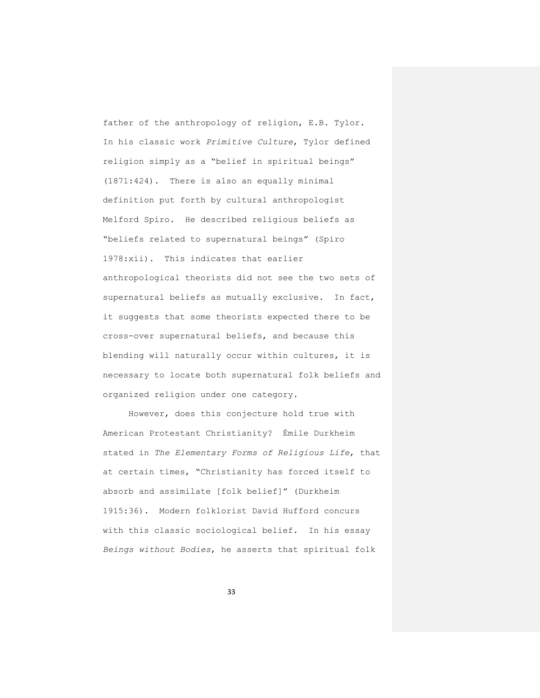father of the anthropology of religion, E.B. Tylor. In his classic work *Primitive Culture*, Tylor defined religion simply as a "belief in spiritual beings" (1871:424). There is also an equally minimal definition put forth by cultural anthropologist Melford Spiro. He described religious beliefs as "beliefs related to supernatural beings" (Spiro 1978:xii). This indicates that earlier anthropological theorists did not see the two sets of supernatural beliefs as mutually exclusive. In fact, it suggests that some theorists expected there to be cross-over supernatural beliefs, and because this blending will naturally occur within cultures, it is necessary to locate both supernatural folk beliefs and organized religion under one category.

However, does this conjecture hold true with American Protestant Christianity? Émile Durkheim stated in *[The Elementary Forms of Religious Life](https://webmail.bsu.edu/owa/redir.aspx?C=4844a1c620c6481b8c66906f915d4d78&URL=http%3a%2f%2fen.wikipedia.org%2fwiki%2fThe_Elementary_Forms_of_Religious_Life)*, that at certain times, "Christianity has forced itself to absorb and assimilate [folk belief]" (Durkheim 1915:36). Modern folklorist David Hufford concurs with this classic sociological belief. In his essay *Beings without Bodies*, he asserts that spiritual folk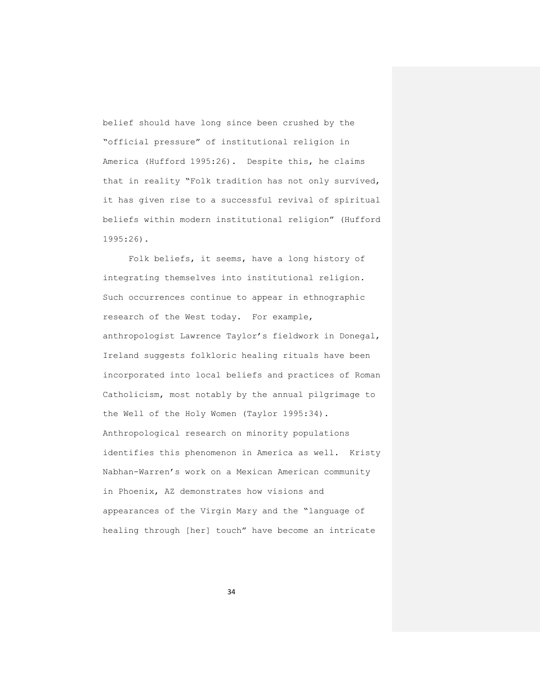belief should have long since been crushed by the "official pressure" of institutional religion in America (Hufford 1995:26). Despite this, he claims that in reality "Folk tradition has not only survived, it has given rise to a successful revival of spiritual beliefs within modern institutional religion" (Hufford 1995:26).

Folk beliefs, it seems, have a long history of integrating themselves into institutional religion. Such occurrences continue to appear in ethnographic research of the West today. For example, anthropologist Lawrence Taylor's fieldwork in Donegal, Ireland suggests folkloric healing rituals have been incorporated into local beliefs and practices of Roman Catholicism, most notably by the annual pilgrimage to the Well of the Holy Women (Taylor 1995:34). Anthropological research on minority populations identifies this phenomenon in America as well. Kristy Nabhan-Warren's work on a Mexican American community in Phoenix, AZ demonstrates how visions and appearances of the Virgin Mary and the "language of healing through [her] touch" have become an intricate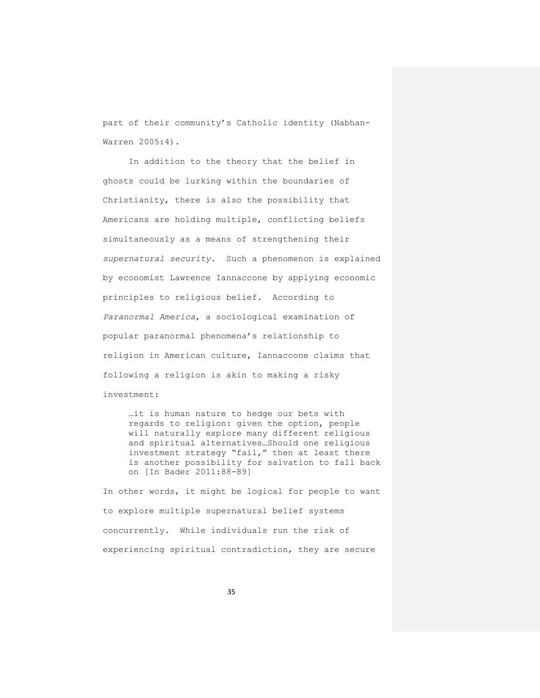part of their community's Catholic identity (Nabhan-Warren 2005:4).

In addition to the theory that the belief in ghosts could be lurking within the boundaries of Christianity, there is also the possibility that Americans are holding multiple, conflicting beliefs simultaneously as a means of strengthening their *supernatural security*. Such a phenomenon is explained by economist Lawrence Iannaccone by applying economic principles to religious belief. According to *Paranormal America*, a sociological examination of popular paranormal phenomena's relationship to religion in American culture, Iannaccone claims that following a religion is akin to making a risky investment:

…it is human nature to hedge our bets with regards to religion: given the option, people will naturally explore many different religious and spiritual alternatives…Should one religious investment strategy "fail," then at least there is another possibility for salvation to fall back on [In Bader 2011:88-89]

In other words, it might be logical for people to want to explore multiple supernatural belief systems concurrently. While individuals run the risk of experiencing spiritual contradiction, they are secure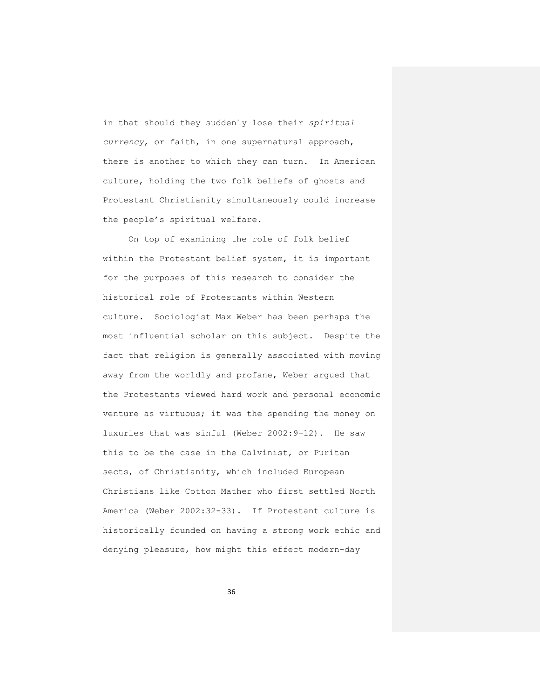in that should they suddenly lose their *spiritual currency*, or faith, in one supernatural approach, there is another to which they can turn. In American culture, holding the two folk beliefs of ghosts and Protestant Christianity simultaneously could increase the people's spiritual welfare.

On top of examining the role of folk belief within the Protestant belief system, it is important for the purposes of this research to consider the historical role of Protestants within Western culture. Sociologist Max Weber has been perhaps the most influential scholar on this subject. Despite the fact that religion is generally associated with moving away from the worldly and profane, Weber argued that the Protestants viewed hard work and personal economic venture as virtuous; it was the spending the money on luxuries that was sinful (Weber 2002:9-12). He saw this to be the case in the Calvinist, or Puritan sects, of Christianity, which included European Christians like Cotton Mather who first settled North America (Weber 2002:32-33). If Protestant culture is historically founded on having a strong work ethic and denying pleasure, how might this effect modern-day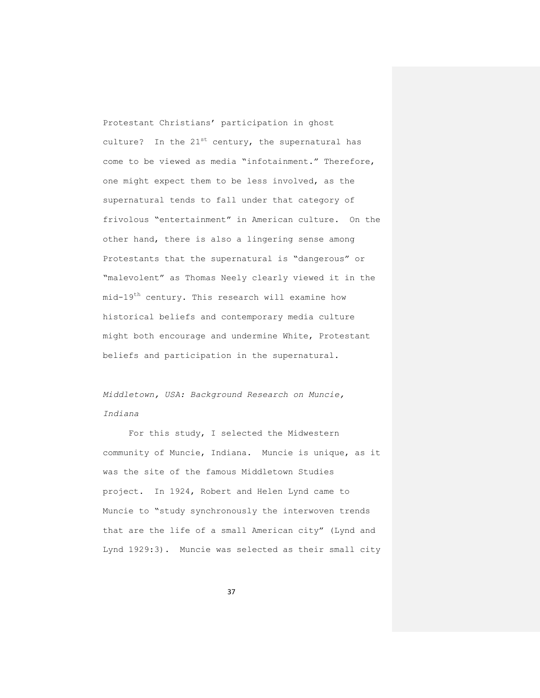Protestant Christians' participation in ghost culture? In the  $21^{st}$  century, the supernatural has come to be viewed as media "infotainment." Therefore, one might expect them to be less involved, as the supernatural tends to fall under that category of frivolous "entertainment" in American culture. On the other hand, there is also a lingering sense among Protestants that the supernatural is "dangerous" or "malevolent" as Thomas Neely clearly viewed it in the mid-19th century. This research will examine how historical beliefs and contemporary media culture might both encourage and undermine White, Protestant beliefs and participation in the supernatural.

*Middletown, USA: Background Research on Muncie, Indiana*

For this study, I selected the Midwestern community of Muncie, Indiana. Muncie is unique, as it was the site of the famous Middletown Studies project. In 1924, Robert and Helen Lynd came to Muncie to "study synchronously the interwoven trends that are the life of a small American city" (Lynd and Lynd 1929:3). Muncie was selected as their small city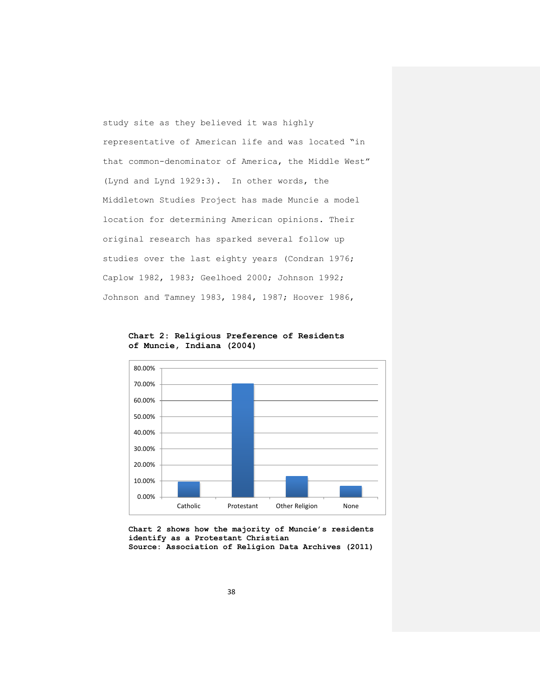study site as they believed it was highly representative of American life and was located "in that common-denominator of America, the Middle West" (Lynd and Lynd 1929:3). In other words, the Middletown Studies Project has made Muncie a model location for determining American opinions. Their original research has sparked several follow up studies over the last eighty years (Condran 1976; Caplow 1982, 1983; Geelhoed 2000; Johnson 1992; Johnson and Tamney 1983, 1984, 1987; Hoover 1986,



**Chart 2: Religious Preference of Residents of Muncie, Indiana (2004)**

**Chart 2 shows how the majority of Muncie's residents identify as a Protestant Christian Source: Association of Religion Data Archives (2011)**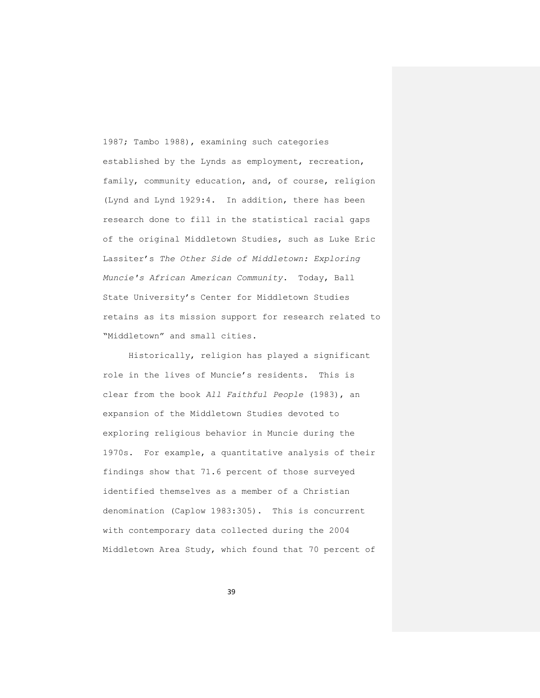1987; Tambo 1988), examining such categories established by the Lynds as employment, recreation, family, community education, and, of course, religion (Lynd and Lynd 1929:4. In addition, there has been research done to fill in the statistical racial gaps of the original Middletown Studies, such as Luke Eric Lassiter's *The Other Side of Middletown: Exploring Muncie's African American Community*. Today, Ball State University's Center for Middletown Studies retains as its mission support for research related to "Middletown" and small cities.

Historically, religion has played a significant role in the lives of Muncie's residents. This is clear from the book *All Faithful People* (1983), an expansion of the Middletown Studies devoted to exploring religious behavior in Muncie during the 1970s. For example, a quantitative analysis of their findings show that 71.6 percent of those surveyed identified themselves as a member of a Christian denomination (Caplow 1983:305). This is concurrent with contemporary data collected during the 2004 Middletown Area Study, which found that 70 percent of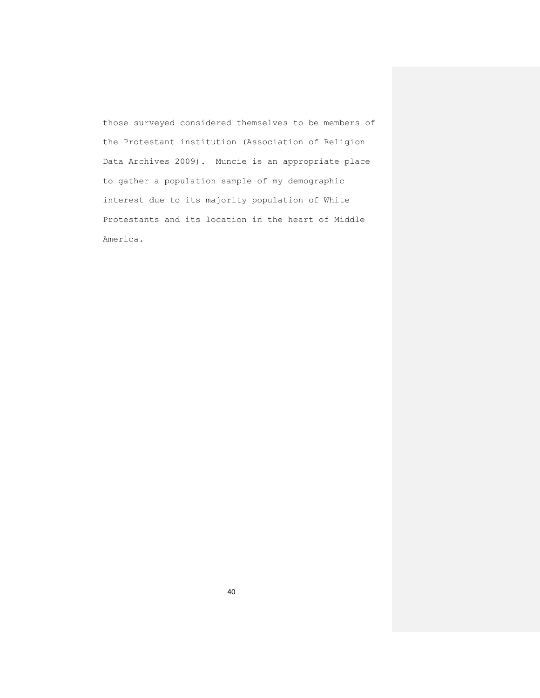those surveyed considered themselves to be members of the Protestant institution (Association of Religion Data Archives 2009). Muncie is an appropriate place to gather a population sample of my demographic interest due to its majority population of White Protestants and its location in the heart of Middle America.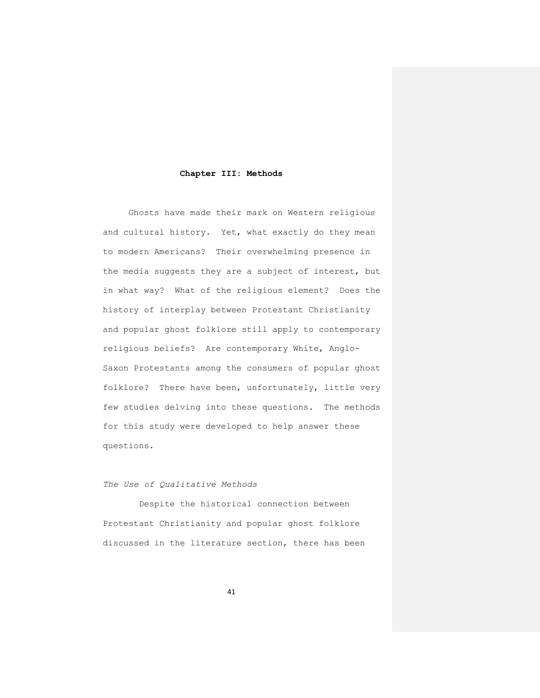## **Chapter III: Methods**

Ghosts have made their mark on Western religious and cultural history. Yet, what exactly do they mean to modern Americans? Their overwhelming presence in the media suggests they are a subject of interest, but in what way? What of the religious element? Does the history of interplay between Protestant Christianity and popular ghost folklore still apply to contemporary religious beliefs? Are contemporary White, Anglo-Saxon Protestants among the consumers of popular ghost folklore? There have been, unfortunately, little very few studies delving into these questions. The methods for this study were developed to help answer these questions.

# *The Use of Qualitative Methods*

 Despite the historical connection between Protestant Christianity and popular ghost folklore discussed in the literature section, there has been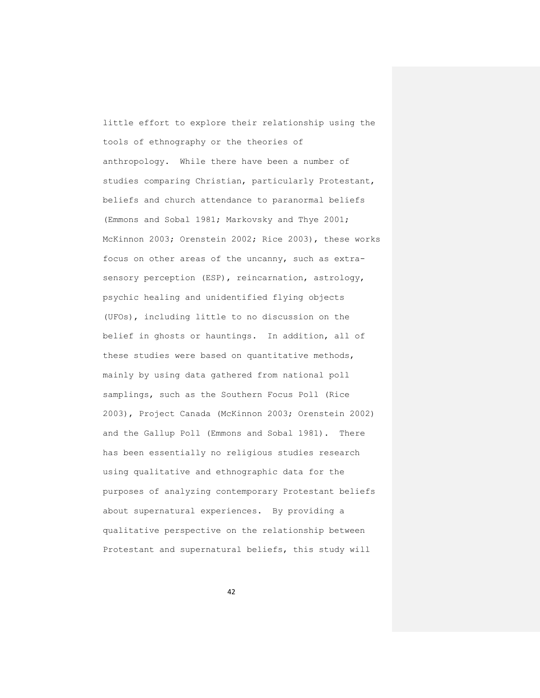little effort to explore their relationship using the tools of ethnography or the theories of anthropology. While there have been a number of studies comparing Christian, particularly Protestant, beliefs and church attendance to paranormal beliefs (Emmons and Sobal 1981; Markovsky and Thye 2001; McKinnon 2003; Orenstein 2002; Rice 2003), these works focus on other areas of the uncanny, such as extrasensory perception (ESP), reincarnation, astrology, psychic healing and unidentified flying objects (UFOs), including little to no discussion on the belief in ghosts or hauntings. In addition, all of these studies were based on quantitative methods, mainly by using data gathered from national poll samplings, such as the Southern Focus Poll (Rice 2003), Project Canada (McKinnon 2003; Orenstein 2002) and the Gallup Poll (Emmons and Sobal 1981). There has been essentially no religious studies research using qualitative and ethnographic data for the purposes of analyzing contemporary Protestant beliefs about supernatural experiences. By providing a qualitative perspective on the relationship between Protestant and supernatural beliefs, this study will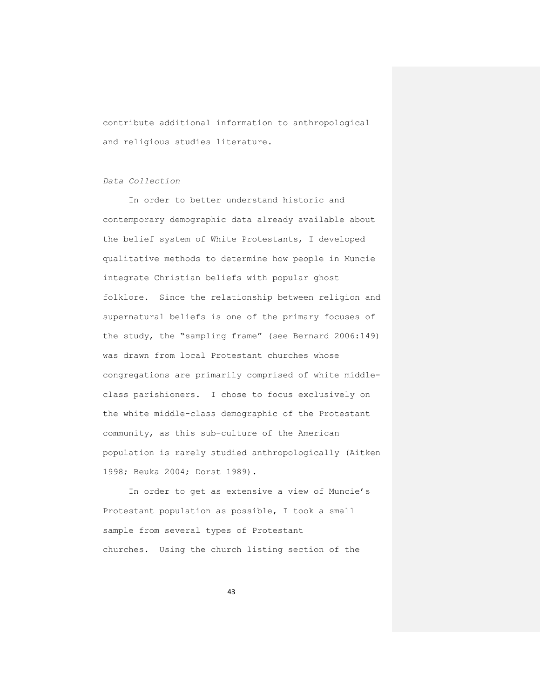contribute additional information to anthropological and religious studies literature.

*Data Collection*

In order to better understand historic and contemporary demographic data already available about the belief system of White Protestants, I developed qualitative methods to determine how people in Muncie integrate Christian beliefs with popular ghost folklore. Since the relationship between religion and supernatural beliefs is one of the primary focuses of the study, the "sampling frame" (see Bernard 2006:149) was drawn from local Protestant churches whose congregations are primarily comprised of white middleclass parishioners. I chose to focus exclusively on the white middle-class demographic of the Protestant community, as this sub-culture of the American population is rarely studied anthropologically (Aitken 1998; Beuka 2004; Dorst 1989).

In order to get as extensive a view of Muncie's Protestant population as possible, I took a small sample from several types of Protestant churches. Using the church listing section of the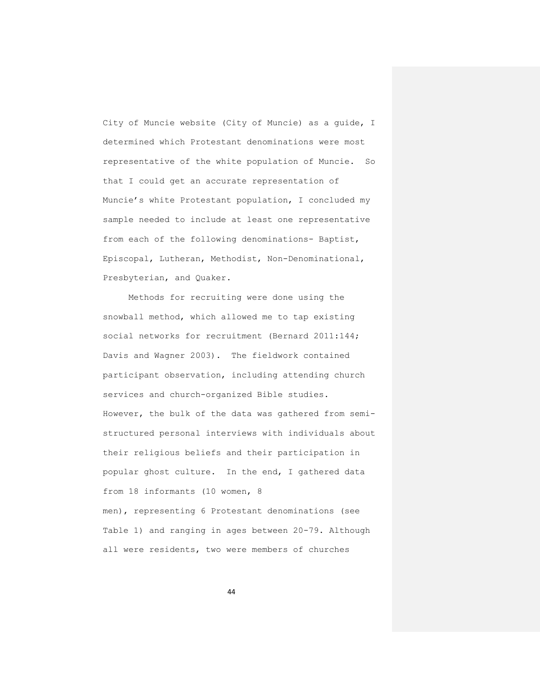City of Muncie website (City of Muncie) as a guide, I determined which Protestant denominations were most representative of the white population of Muncie. So that I could get an accurate representation of Muncie's white Protestant population, I concluded my sample needed to include at least one representative from each of the following denominations- Baptist, Episcopal, Lutheran, Methodist, Non-Denominational, Presbyterian, and Quaker.

Methods for recruiting were done using the snowball method, which allowed me to tap existing social networks for recruitment (Bernard 2011:144; Davis and Wagner 2003). The fieldwork contained participant observation, including attending church services and church-organized Bible studies. However, the bulk of the data was gathered from semistructured personal interviews with individuals about their religious beliefs and their participation in popular ghost culture. In the end, I gathered data from 18 informants (10 women, 8 men), representing 6 Protestant denominations (see

Table 1) and ranging in ages between 20-79. Although all were residents, two were members of churches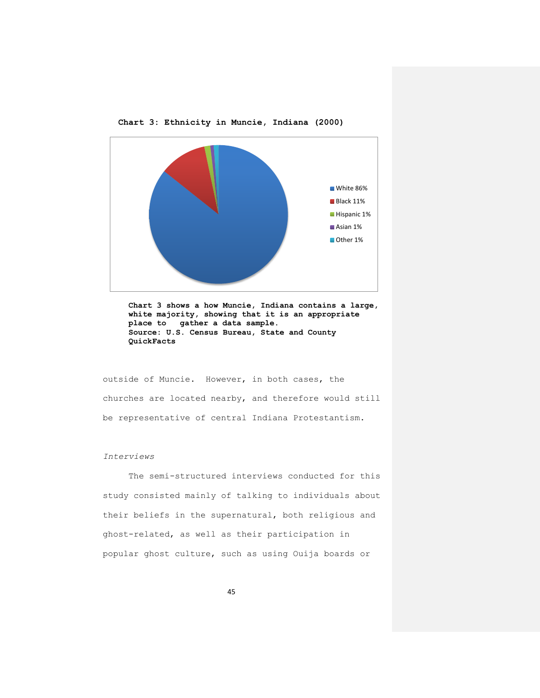

**Chart 3: Ethnicity in Muncie, Indiana (2000)**

**Chart 3 shows a how Muncie, Indiana contains a large, white majority, showing that it is an appropriate place to gather a data sample. Source: U.S. Census Bureau, State and County QuickFacts**

outside of Muncie. However, in both cases, the churches are located nearby, and therefore would still be representative of central Indiana Protestantism.

## *Interviews*

The semi-structured interviews conducted for this study consisted mainly of talking to individuals about their beliefs in the supernatural, both religious and ghost-related, as well as their participation in popular ghost culture, such as using Ouija boards or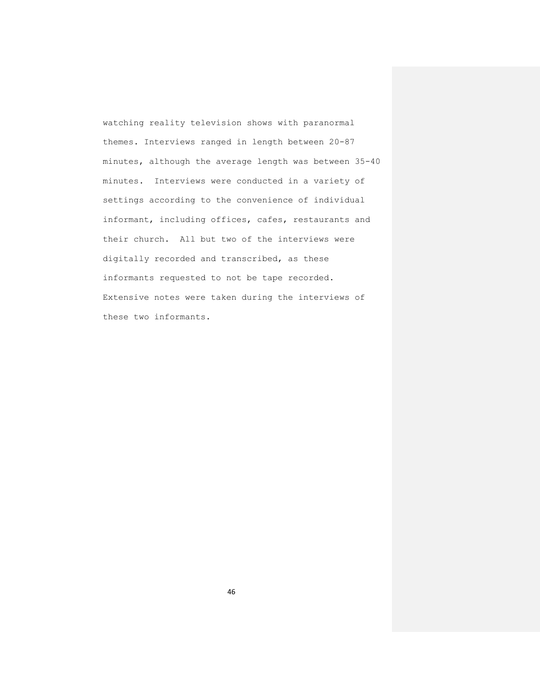watching reality television shows with paranormal themes. Interviews ranged in length between 20-87 minutes, although the average length was between 35-40 minutes. Interviews were conducted in a variety of settings according to the convenience of individual informant, including offices, cafes, restaurants and their church. All but two of the interviews were digitally recorded and transcribed, as these informants requested to not be tape recorded. Extensive notes were taken during the interviews of these two informants.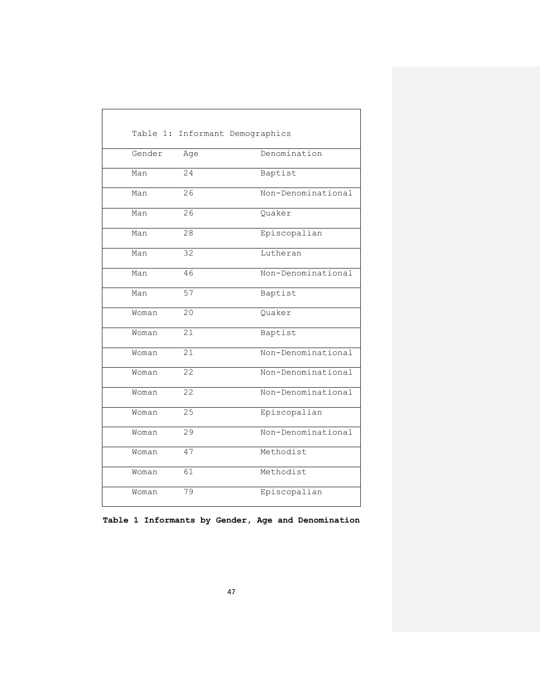|        |                 | Table 1: Informant Demographics |
|--------|-----------------|---------------------------------|
| Gender | Age             | Denomination                    |
| Man    | 24              | Baptist                         |
| Man    | 26              | Non-Denominational              |
| Man    | 26              | Quaker                          |
| Man    | 28              | Episcopalian                    |
| Man    | $\overline{32}$ | Lutheran                        |
| Man    | 46              | Non-Denominational              |
| Man    | 57              | Baptist                         |
| Woman  | 20              | Quaker                          |
| Woman  | 21              | Baptist                         |
| Woman  | 21              | Non-Denominational              |
| Woman  | 22              | Non-Denominational              |
| Woman  | 22              | Non-Denominational              |
| Woman  | $\overline{25}$ | Episcopalian                    |
| Woman  | $\overline{29}$ | Non-Denominational              |
| Woman  | 47              | Methodist                       |
| Woman  | 61              | Methodist                       |
| Woman  | 79              | Episcopalian                    |

**Table 1 Informants by Gender, Age and Denomination**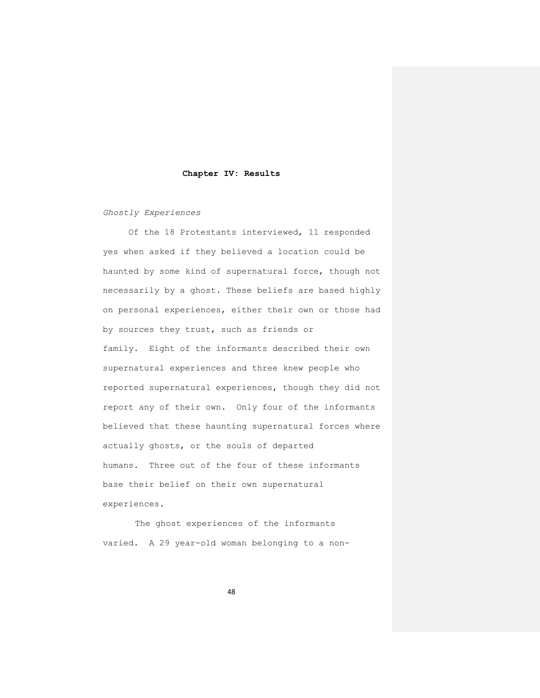#### **Chapter IV: Results**

*Ghostly Experiences*

Of the 18 Protestants interviewed, 11 responded yes when asked if they believed a location could be haunted by some kind of supernatural force, though not necessarily by a ghost. These beliefs are based highly on personal experiences, either their own or those had by sources they trust, such as friends or family. Eight of the informants described their own supernatural experiences and three knew people who reported supernatural experiences, though they did not report any of their own. Only four of the informants believed that these haunting supernatural forces where actually ghosts, or the souls of departed humans. Three out of the four of these informants base their belief on their own supernatural experiences.

The ghost experiences of the informants varied. A 29 year-old woman belonging to a non-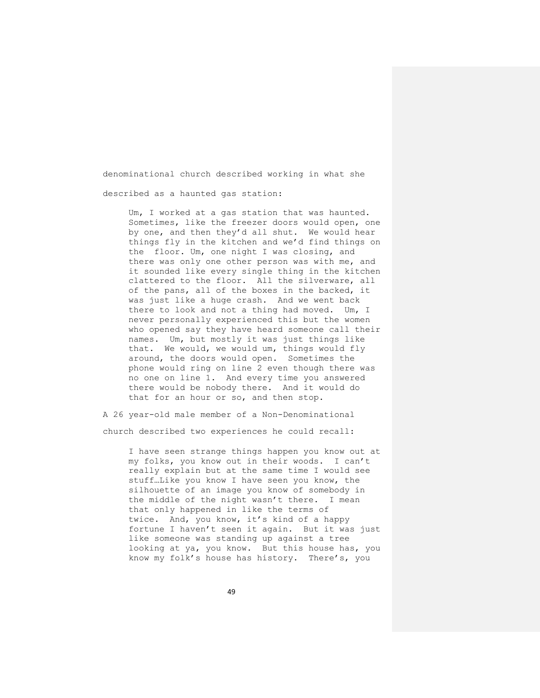denominational church described working in what she described as a haunted gas station:

Um, I worked at a gas station that was haunted. Sometimes, like the freezer doors would open, one by one, and then they'd all shut. We would hear things fly in the kitchen and we'd find things on the floor. Um, one night I was closing, and there was only one other person was with me, and it sounded like every single thing in the kitchen clattered to the floor. All the silverware, all of the pans, all of the boxes in the backed, it was just like a huge crash. And we went back there to look and not a thing had moved. Um, I never personally experienced this but the women who opened say they have heard someone call their names. Um, but mostly it was just things like that. We would, we would um, things would fly around, the doors would open. Sometimes the phone would ring on line 2 even though there was no one on line 1. And every time you answered there would be nobody there. And it would do that for an hour or so, and then stop.

A 26 year-old male member of a Non-Denominational church described two experiences he could recall:

> I have seen strange things happen you know out at my folks, you know out in their woods. I can't really explain but at the same time I would see stuff…Like you know I have seen you know, the silhouette of an image you know of somebody in the middle of the night wasn't there. I mean that only happened in like the terms of twice. And, you know, it's kind of a happy fortune I haven't seen it again. But it was just like someone was standing up against a tree looking at ya, you know. But this house has, you know my folk's house has history. There's, you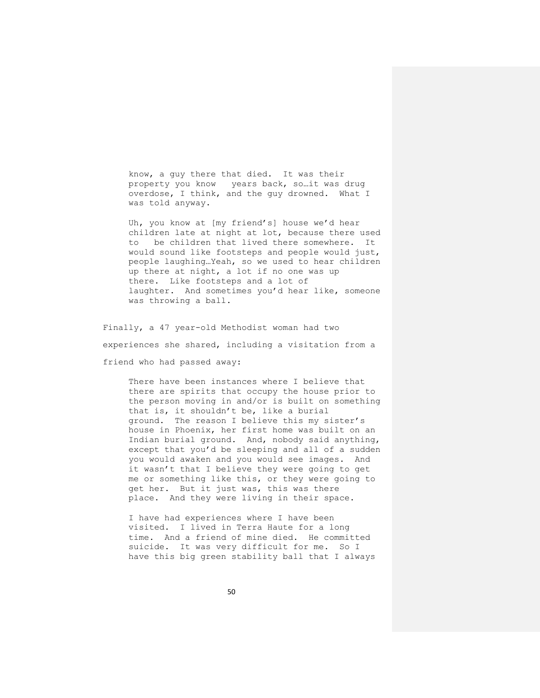know, a guy there that died. It was their property you know years back, so…it was drug overdose, I think, and the guy drowned. What I was told anyway.

Uh, you know at [my friend's] house we'd hear children late at night at lot, because there used to be children that lived there somewhere. It would sound like footsteps and people would just, people laughing…Yeah, so we used to hear children up there at night, a lot if no one was up there. Like footsteps and a lot of laughter. And sometimes you'd hear like, someone was throwing a ball.

Finally, a 47 year-old Methodist woman had two experiences she shared, including a visitation from a friend who had passed away:

There have been instances where I believe that there are spirits that occupy the house prior to the person moving in and/or is built on something that is, it shouldn't be, like a burial ground. The reason I believe this my sister's house in Phoenix, her first home was built on an Indian burial ground. And, nobody said anything, except that you'd be sleeping and all of a sudden you would awaken and you would see images. And it wasn't that I believe they were going to get me or something like this, or they were going to get her. But it just was, this was there place. And they were living in their space.

I have had experiences where I have been visited. I lived in Terra Haute for a long time. And a friend of mine died. He committed suicide. It was very difficult for me. So I have this big green stability ball that I always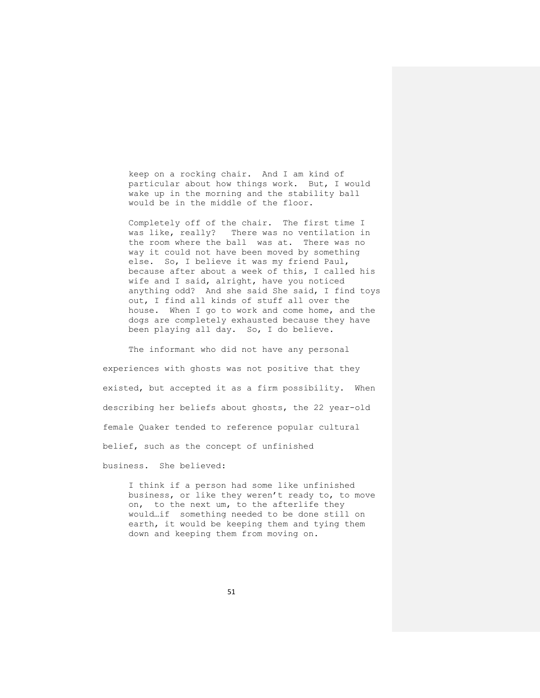keep on a rocking chair. And I am kind of particular about how things work. But, I would wake up in the morning and the stability ball would be in the middle of the floor.

Completely off of the chair. The first time I was like, really? There was no ventilation in the room where the ball was at. There was no way it could not have been moved by something else. So, I believe it was my friend Paul, because after about a week of this, I called his wife and I said, alright, have you noticed anything odd? And she said She said, I find toys out, I find all kinds of stuff all over the house. When I go to work and come home, and the dogs are completely exhausted because they have been playing all day. So, I do believe.

The informant who did not have any personal experiences with ghosts was not positive that they existed, but accepted it as a firm possibility. When describing her beliefs about ghosts, the 22 year-old female Quaker tended to reference popular cultural belief, such as the concept of unfinished business. She believed:

I think if a person had some like unfinished business, or like they weren't ready to, to move on, to the next um, to the afterlife they would…if something needed to be done still on earth, it would be keeping them and tying them down and keeping them from moving on.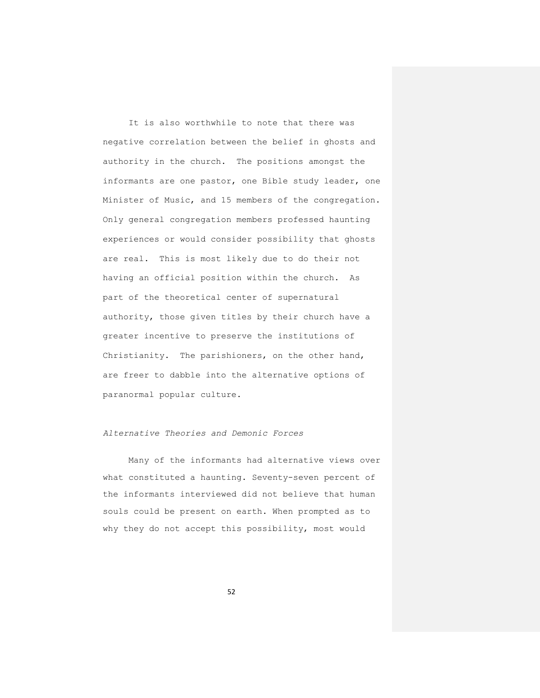It is also worthwhile to note that there was negative correlation between the belief in ghosts and authority in the church. The positions amongst the informants are one pastor, one Bible study leader, one Minister of Music, and 15 members of the congregation. Only general congregation members professed haunting experiences or would consider possibility that ghosts are real. This is most likely due to do their not having an official position within the church. As part of the theoretical center of supernatural authority, those given titles by their church have a greater incentive to preserve the institutions of Christianity. The parishioners, on the other hand, are freer to dabble into the alternative options of paranormal popular culture.

### *Alternative Theories and Demonic Forces*

Many of the informants had alternative views over what constituted a haunting. Seventy-seven percent of the informants interviewed did not believe that human souls could be present on earth. When prompted as to why they do not accept this possibility, most would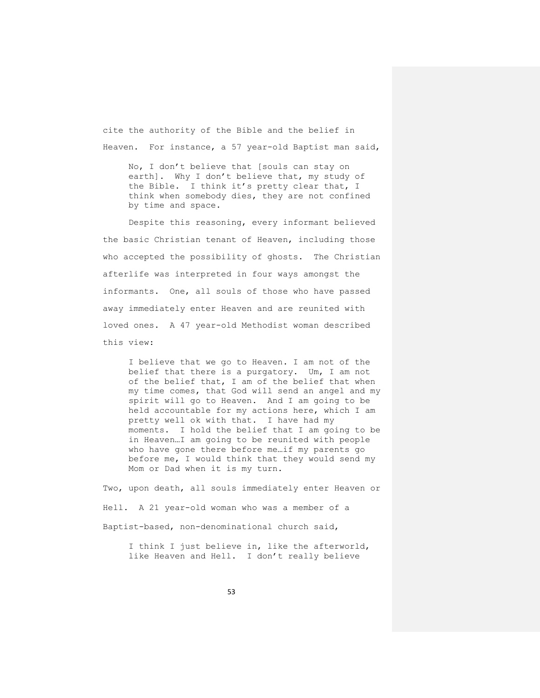cite the authority of the Bible and the belief in Heaven. For instance, a 57 year-old Baptist man said,

No, I don't believe that [souls can stay on earth]. Why I don't believe that, my study of the Bible. I think it's pretty clear that, I think when somebody dies, they are not confined by time and space.

Despite this reasoning, every informant believed the basic Christian tenant of Heaven, including those who accepted the possibility of ghosts. The Christian afterlife was interpreted in four ways amongst the informants. One, all souls of those who have passed away immediately enter Heaven and are reunited with loved ones. A 47 year-old Methodist woman described this view:

I believe that we go to Heaven. I am not of the belief that there is a purgatory. Um, I am not of the belief that, I am of the belief that when my time comes, that God will send an angel and my spirit will go to Heaven. And I am going to be held accountable for my actions here, which I am pretty well ok with that. I have had my moments. I hold the belief that I am going to be in Heaven…I am going to be reunited with people who have gone there before me…if my parents go before me, I would think that they would send my Mom or Dad when it is my turn.

Two, upon death, all souls immediately enter Heaven or Hell. A 21 year-old woman who was a member of a Baptist-based, non-denominational church said,

I think I just believe in, like the afterworld, like Heaven and Hell. I don't really believe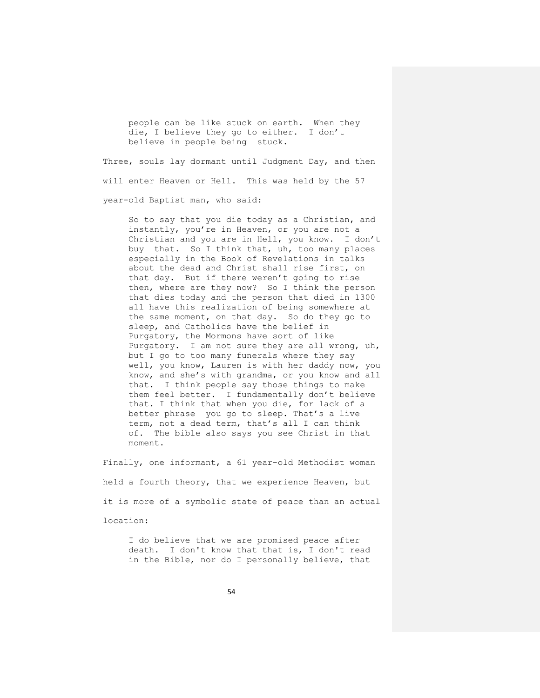people can be like stuck on earth. When they die, I believe they go to either. I don't believe in people being stuck.

Three, souls lay dormant until Judgment Day, and then will enter Heaven or Hell. This was held by the 57 year-old Baptist man, who said:

So to say that you die today as a Christian, and instantly, you're in Heaven, or you are not a Christian and you are in Hell, you know. I don't buy that. So I think that, uh, too many places especially in the Book of Revelations in talks about the dead and Christ shall rise first, on that day. But if there weren't going to rise then, where are they now? So I think the person that dies today and the person that died in 1300 all have this realization of being somewhere at the same moment, on that day. So do they go to sleep, and Catholics have the belief in Purgatory, the Mormons have sort of like Purgatory. I am not sure they are all wrong, uh, but I go to too many funerals where they say well, you know, Lauren is with her daddy now, you know, and she's with grandma, or you know and all that. I think people say those things to make them feel better. I fundamentally don't believe that. I think that when you die, for lack of a better phrase you go to sleep. That's a live term, not a dead term, that's all I can think of. The bible also says you see Christ in that moment.

Finally, one informant, a 61 year-old Methodist woman held a fourth theory, that we experience Heaven, but it is more of a symbolic state of peace than an actual location:

I do believe that we are promised peace after death. I don't know that that is, I don't read in the Bible, nor do I personally believe, that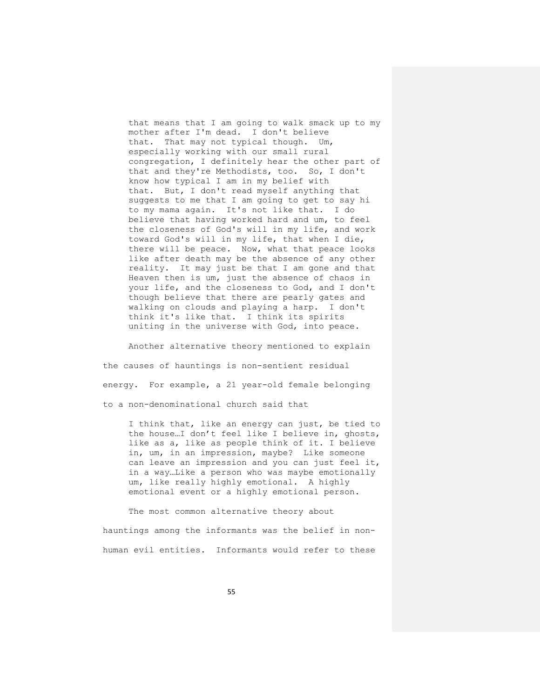that means that I am going to walk smack up to my mother after I'm dead. I don't believe that. That may not typical though. Um, especially working with our small rural congregation, I definitely hear the other part of that and they're Methodists, too. So, I don't know how typical I am in my belief with that. But, I don't read myself anything that suggests to me that I am going to get to say hi to my mama again. It's not like that. I do believe that having worked hard and um, to feel the closeness of God's will in my life, and work toward God's will in my life, that when I die, there will be peace. Now, what that peace looks like after death may be the absence of any other reality. It may just be that I am gone and that Heaven then is um, just the absence of chaos in your life, and the closeness to God, and I don't though believe that there are pearly gates and walking on clouds and playing a harp. I don't think it's like that. I think its spirits uniting in the universe with God, into peace.

Another alternative theory mentioned to explain the causes of hauntings is non-sentient residual energy. For example, a 21 year-old female belonging to a non-denominational church said that

I think that, like an energy can just, be tied to the house…I don't feel like I believe in, ghosts, like as a, like as people think of it. I believe in, um, in an impression, maybe? Like someone can leave an impression and you can just feel it, in a way…Like a person who was maybe emotionally um, like really highly emotional. A highly emotional event or a highly emotional person.

The most common alternative theory about hauntings among the informants was the belief in nonhuman evil entities. Informants would refer to these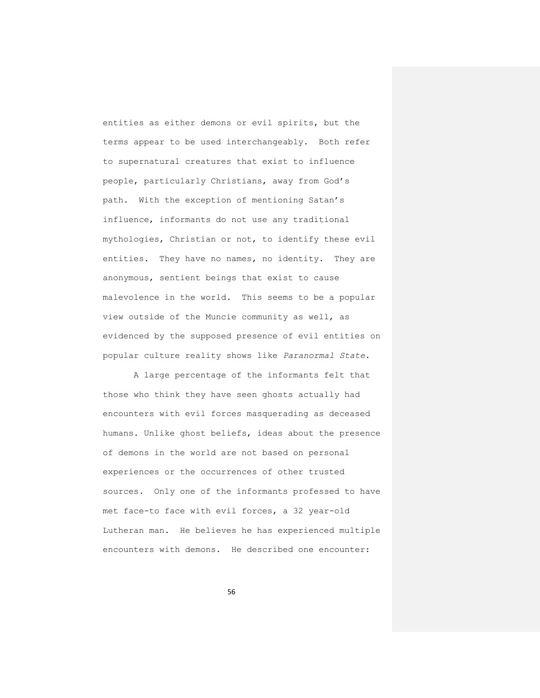entities as either demons or evil spirits, but the terms appear to be used interchangeably. Both refer to supernatural creatures that exist to influence people, particularly Christians, away from God's path. With the exception of mentioning Satan's influence, informants do not use any traditional mythologies, Christian or not, to identify these evil entities. They have no names, no identity. They are anonymous, sentient beings that exist to cause malevolence in the world. This seems to be a popular view outside of the Muncie community as well, as evidenced by the supposed presence of evil entities on popular culture reality shows like *Paranormal State*.

A large percentage of the informants felt that those who think they have seen ghosts actually had encounters with evil forces masquerading as deceased humans. Unlike ghost beliefs, ideas about the presence of demons in the world are not based on personal experiences or the occurrences of other trusted sources. Only one of the informants professed to have met face-to face with evil forces, a 32 year-old Lutheran man. He believes he has experienced multiple encounters with demons. He described one encounter: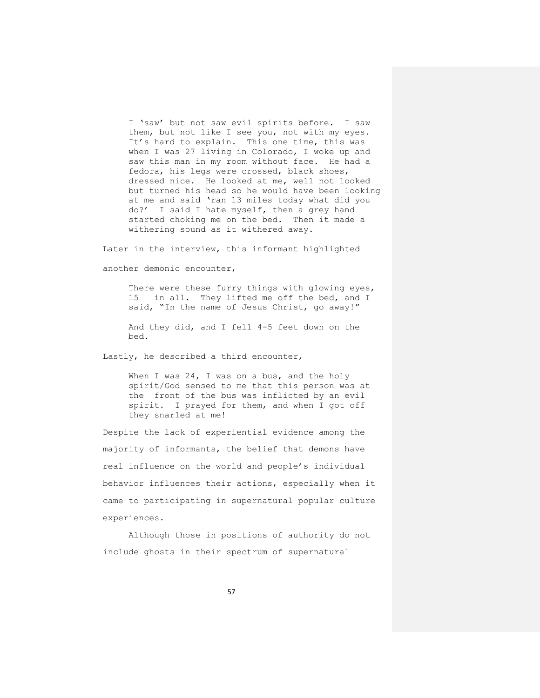I 'saw' but not saw evil spirits before. I saw them, but not like I see you, not with my eyes. It's hard to explain. This one time, this was when I was 27 living in Colorado, I woke up and saw this man in my room without face. He had a fedora, his legs were crossed, black shoes, dressed nice. He looked at me, well not looked but turned his head so he would have been looking at me and said 'ran 13 miles today what did you do?' I said I hate myself, then a grey hand started choking me on the bed. Then it made a withering sound as it withered away.

Later in the interview, this informant highlighted another demonic encounter,

There were these furry things with glowing eyes, 15 in all. They lifted me off the bed, and I said, "In the name of Jesus Christ, go away!"

And they did, and I fell 4-5 feet down on the bed.

Lastly, he described a third encounter,

When I was 24, I was on a bus, and the holy spirit/God sensed to me that this person was at the front of the bus was inflicted by an evil spirit. I prayed for them, and when I got off they snarled at me!

Despite the lack of experiential evidence among the majority of informants, the belief that demons have real influence on the world and people's individual behavior influences their actions, especially when it came to participating in supernatural popular culture experiences.

Although those in positions of authority do not include ghosts in their spectrum of supernatural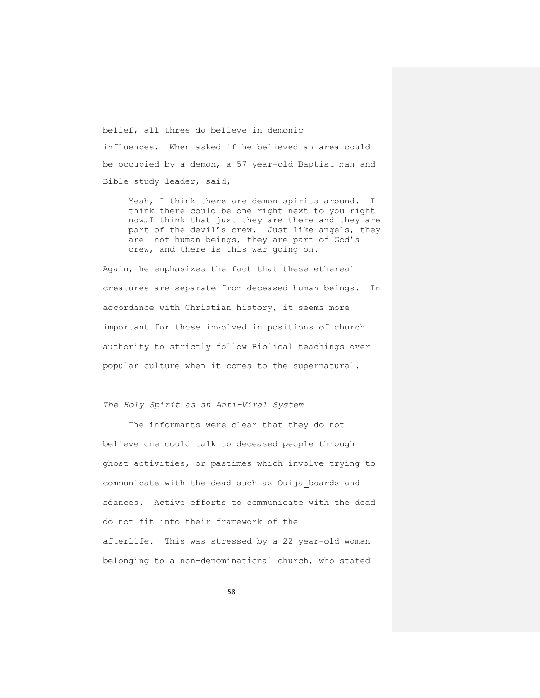belief, all three do believe in demonic influences. When asked if he believed an area could be occupied by a demon, a 57 year-old Baptist man and Bible study leader, said,

Yeah, I think there are demon spirits around. I think there could be one right next to you right now…I think that just they are there and they are part of the devil's crew. Just like angels, they are not human beings, they are part of God's crew, and there is this war going on.

Again, he emphasizes the fact that these ethereal creatures are separate from deceased human beings. In accordance with Christian history, it seems more important for those involved in positions of church authority to strictly follow Biblical teachings over popular culture when it comes to the supernatural.

### *The Holy Spirit as an Anti-Viral System*

The informants were clear that they do not believe one could talk to deceased people through ghost activities, or pastimes which involve trying to communicate with the dead such as Ouija boards and séances. Active efforts to communicate with the dead do not fit into their framework of the afterlife. This was stressed by a 22 year-old woman belonging to a non-denominational church, who stated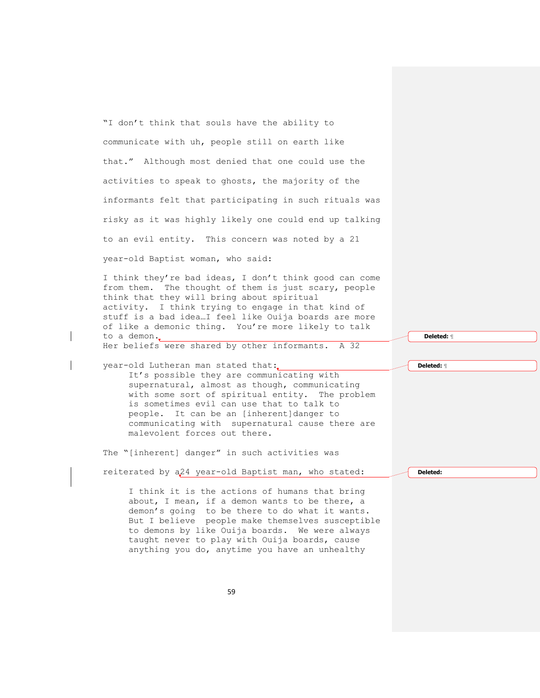"I don't think that souls have the ability to communicate with uh, people still on earth like that." Although most denied that one could use the activities to speak to ghosts, the majority of the informants felt that participating in such rituals was risky as it was highly likely one could end up talking to an evil entity. This concern was noted by a 21

year-old Baptist woman, who said:

I think they're bad ideas, I don't think good can come from them. The thought of them is just scary, people think that they will bring about spiritual activity. I think trying to engage in that kind of stuff is a bad idea…I feel like Ouija boards are more of like a demonic thing. You're more likely to talk to a demon. Her beliefs were shared by other informants. A 32

year-old Lutheran man stated that: It's possible they are communicating with supernatural, almost as though, communicating with some sort of spiritual entity. The problem is sometimes evil can use that to talk to people. It can be an [inherent]danger to communicating with supernatural cause there are malevolent forces out there.

The "[inherent] danger" in such activities was

reiterated by a24 year-old Baptist man, who stated:

**Deleted:** 

**Deleted:** ¶

**Deleted:** ¶

I think it is the actions of humans that bring about, I mean, if a demon wants to be there, a demon's going to be there to do what it wants. But I believe people make themselves susceptible to demons by like Ouija boards. We were always taught never to play with Ouija boards, cause anything you do, anytime you have an unhealthy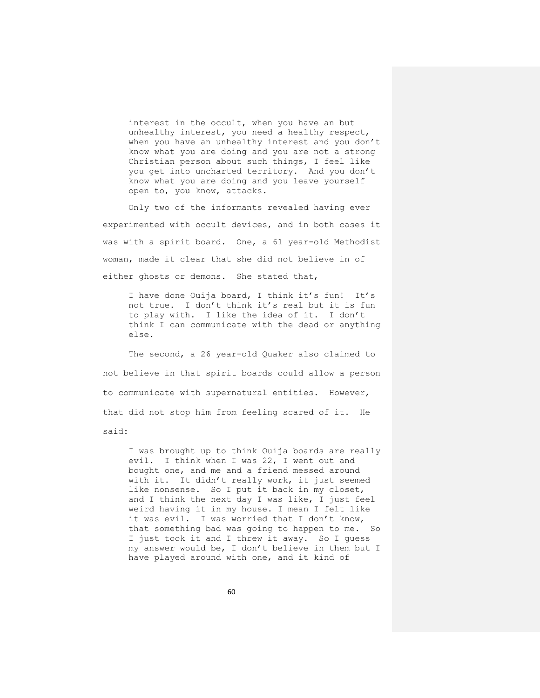interest in the occult, when you have an but unhealthy interest, you need a healthy respect, when you have an unhealthy interest and you don't know what you are doing and you are not a strong Christian person about such things, I feel like you get into uncharted territory. And you don't know what you are doing and you leave yourself open to, you know, attacks.

Only two of the informants revealed having ever experimented with occult devices, and in both cases it was with a spirit board. One, a 61 year-old Methodist woman, made it clear that she did not believe in of either ghosts or demons. She stated that,

I have done Ouija board, I think it's fun! It's not true. I don't think it's real but it is fun to play with. I like the idea of it. I don't think I can communicate with the dead or anything else.

The second, a 26 year-old Quaker also claimed to not believe in that spirit boards could allow a person to communicate with supernatural entities. However, that did not stop him from feeling scared of it. He

said:

I was brought up to think Ouija boards are really evil. I think when I was 22, I went out and bought one, and me and a friend messed around with it. It didn't really work, it just seemed like nonsense. So I put it back in my closet, and I think the next day I was like, I just feel weird having it in my house. I mean I felt like it was evil. I was worried that I don't know, that something bad was going to happen to me. So I just took it and I threw it away. So I guess my answer would be, I don't believe in them but I have played around with one, and it kind of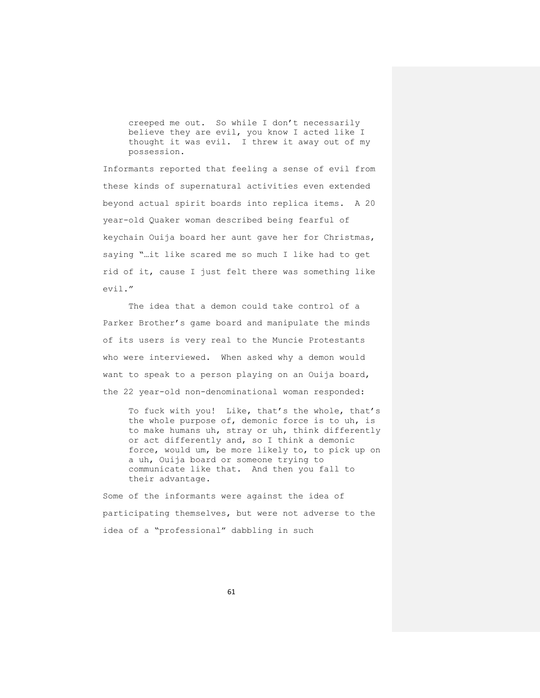creeped me out. So while I don't necessarily believe they are evil, you know I acted like I thought it was evil. I threw it away out of my possession.

Informants reported that feeling a sense of evil from these kinds of supernatural activities even extended beyond actual spirit boards into replica items. A 20 year-old Quaker woman described being fearful of keychain Ouija board her aunt gave her for Christmas, saying "…it like scared me so much I like had to get rid of it, cause I just felt there was something like evil."

The idea that a demon could take control of a Parker Brother's game board and manipulate the minds of its users is very real to the Muncie Protestants who were interviewed. When asked why a demon would want to speak to a person playing on an Ouija board, the 22 year-old non-denominational woman responded:

To fuck with you! Like, that's the whole, that's the whole purpose of, demonic force is to uh, is to make humans uh, stray or uh, think differently or act differently and, so I think a demonic force, would um, be more likely to, to pick up on a uh, Ouija board or someone trying to communicate like that. And then you fall to their advantage.

Some of the informants were against the idea of participating themselves, but were not adverse to the idea of a "professional" dabbling in such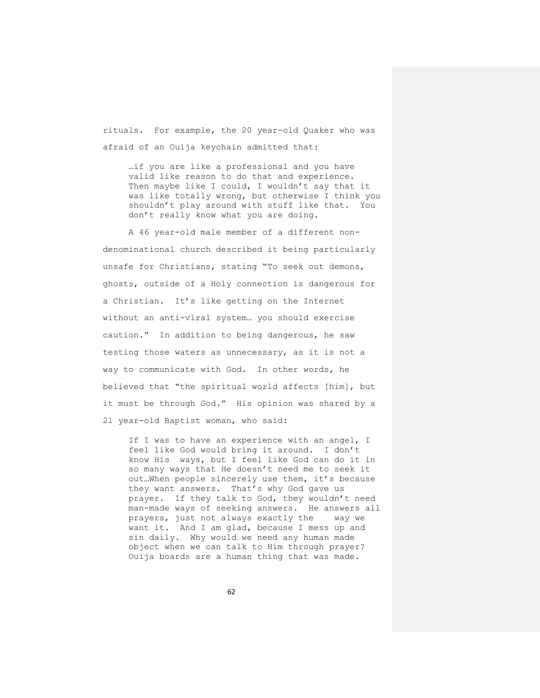rituals. For example, the 20 year-old Quaker who was afraid of an Ouija keychain admitted that:

…if you are like a professional and you have valid like reason to do that and experience. Then maybe like I could, I wouldn't say that it was like totally wrong, but otherwise I think you shouldn't play around with stuff like that. You don't really know what you are doing.

A 46 year-old male member of a different nondenominational church described it being particularly unsafe for Christians, stating "To seek out demons, ghosts, outside of a Holy connection is dangerous for a Christian. It's like getting on the Internet without an anti-viral system… you should exercise caution." In addition to being dangerous, he saw testing those waters as unnecessary, as it is not a way to communicate with God. In other words, he believed that "the spiritual world affects [him], but it must be through God." His opinion was shared by a 21 year-old Baptist woman, who said:

If I was to have an experience with an angel, I feel like God would bring it around. I don't know His ways, but I feel like God can do it in so many ways that He doesn't need me to seek it out…When people sincerely use them, it's because they want answers. That's why God gave us prayer. If they talk to God, they wouldn't need man-made ways of seeking answers. He answers all prayers, just not always exactly the way we want it. And I am glad, because I mess up and sin daily. Why would we need any human made object when we can talk to Him through prayer? Ouija boards are a human thing that was made.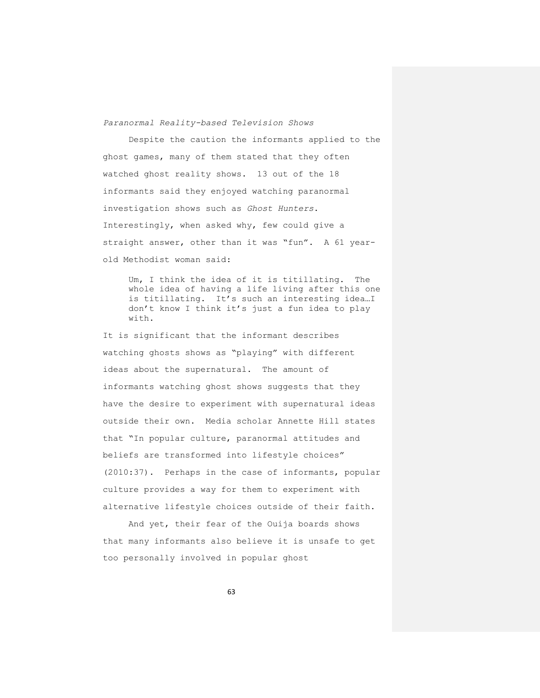*Paranormal Reality-based Television Shows*

Despite the caution the informants applied to the ghost games, many of them stated that they often watched ghost reality shows. 13 out of the 18 informants said they enjoyed watching paranormal investigation shows such as *Ghost Hunters*. Interestingly, when asked why, few could give a straight answer, other than it was "fun". A 61 yearold Methodist woman said:

Um, I think the idea of it is titillating. The whole idea of having a life living after this one is titillating. It's such an interesting idea…I don't know I think it's just a fun idea to play with.

It is significant that the informant describes watching ghosts shows as "playing" with different ideas about the supernatural. The amount of informants watching ghost shows suggests that they have the desire to experiment with supernatural ideas outside their own. Media scholar Annette Hill states that "In popular culture, paranormal attitudes and beliefs are transformed into lifestyle choices" (2010:37). Perhaps in the case of informants, popular culture provides a way for them to experiment with alternative lifestyle choices outside of their faith.

And yet, their fear of the Ouija boards shows that many informants also believe it is unsafe to get too personally involved in popular ghost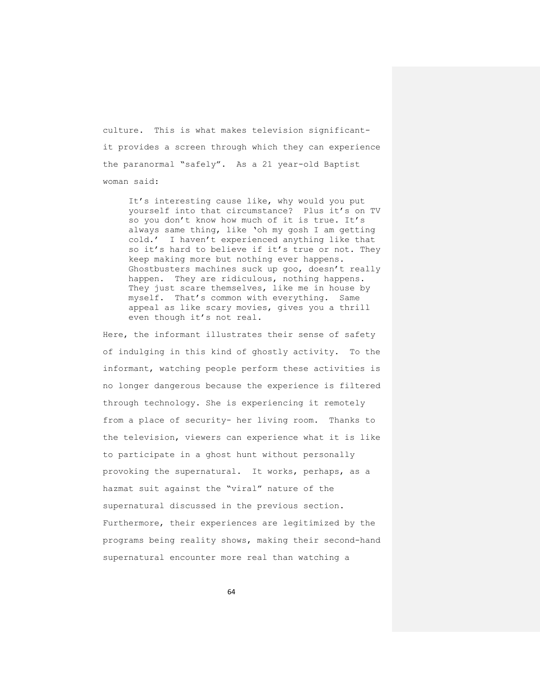culture. This is what makes television significantit provides a screen through which they can experience the paranormal "safely". As a 21 year-old Baptist woman said:

It's interesting cause like, why would you put yourself into that circumstance? Plus it's on TV so you don't know how much of it is true. It's always same thing, like 'oh my gosh I am getting cold.' I haven't experienced anything like that so it's hard to believe if it's true or not. They keep making more but nothing ever happens. Ghostbusters machines suck up goo, doesn't really happen. They are ridiculous, nothing happens. They just scare themselves, like me in house by myself. That's common with everything. Same appeal as like scary movies, gives you a thrill even though it's not real.

Here, the informant illustrates their sense of safety of indulging in this kind of ghostly activity. To the informant, watching people perform these activities is no longer dangerous because the experience is filtered through technology. She is experiencing it remotely from a place of security- her living room. Thanks to the television, viewers can experience what it is like to participate in a ghost hunt without personally provoking the supernatural. It works, perhaps, as a hazmat suit against the "viral" nature of the supernatural discussed in the previous section. Furthermore, their experiences are legitimized by the programs being reality shows, making their second-hand supernatural encounter more real than watching a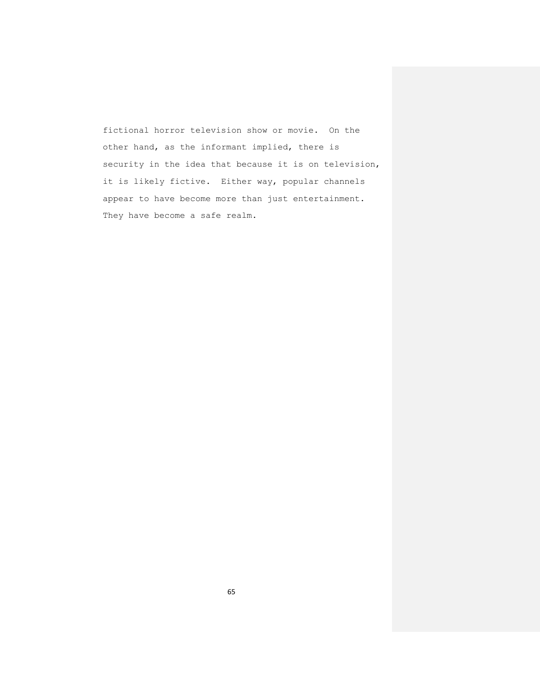fictional horror television show or movie. On the other hand, as the informant implied, there is security in the idea that because it is on television, it is likely fictive. Either way, popular channels appear to have become more than just entertainment. They have become a safe realm.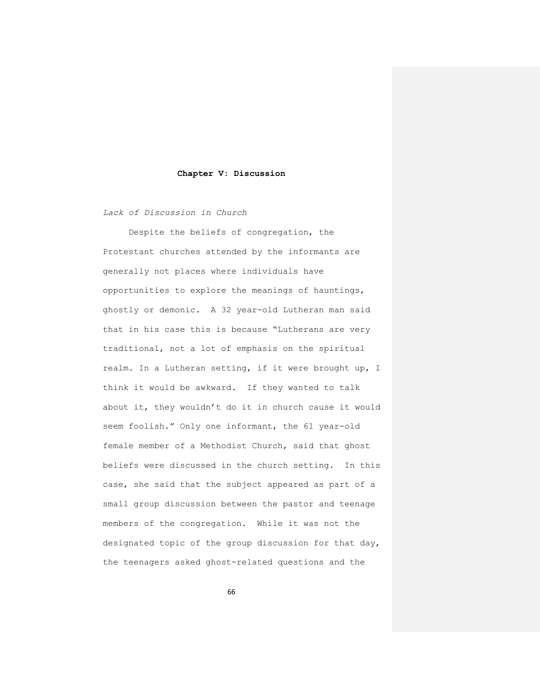#### **Chapter V: Discussion**

*Lack of Discussion in Church*

Despite the beliefs of congregation, the Protestant churches attended by the informants are generally not places where individuals have opportunities to explore the meanings of hauntings, ghostly or demonic. A 32 year-old Lutheran man said that in his case this is because "Lutherans are very traditional, not a lot of emphasis on the spiritual realm. In a Lutheran setting, if it were brought up, I think it would be awkward. If they wanted to talk about it, they wouldn't do it in church cause it would seem foolish." Only one informant, the 61 year-old female member of a Methodist Church, said that ghost beliefs were discussed in the church setting. In this case, she said that the subject appeared as part of a small group discussion between the pastor and teenage members of the congregation. While it was not the designated topic of the group discussion for that day, the teenagers asked ghost-related questions and the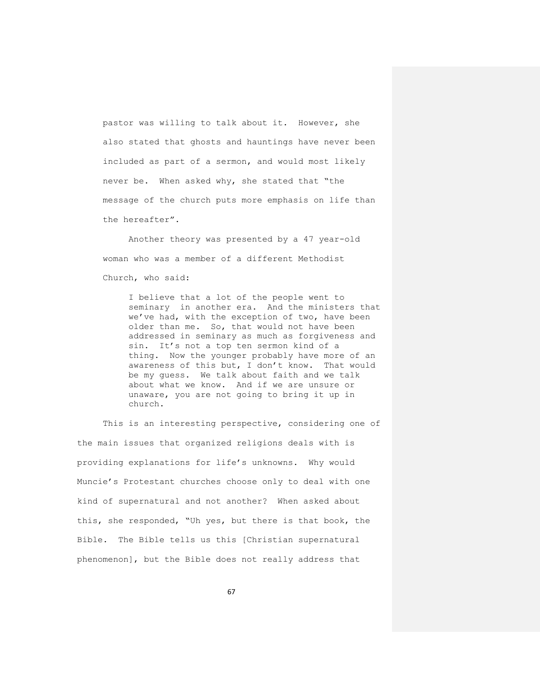pastor was willing to talk about it. However, she also stated that ghosts and hauntings have never been included as part of a sermon, and would most likely never be. When asked why, she stated that "the message of the church puts more emphasis on life than the hereafter".

Another theory was presented by a 47 year-old woman who was a member of a different Methodist Church, who said:

I believe that a lot of the people went to seminary in another era. And the ministers that we've had, with the exception of two, have been older than me. So, that would not have been addressed in seminary as much as forgiveness and sin. It's not a top ten sermon kind of a thing. Now the younger probably have more of an awareness of this but, I don't know. That would be my guess. We talk about faith and we talk about what we know. And if we are unsure or unaware, you are not going to bring it up in church.

This is an interesting perspective, considering one of the main issues that organized religions deals with is providing explanations for life's unknowns. Why would Muncie's Protestant churches choose only to deal with one kind of supernatural and not another? When asked about this, she responded, "Uh yes, but there is that book, the Bible. The Bible tells us this [Christian supernatural phenomenon], but the Bible does not really address that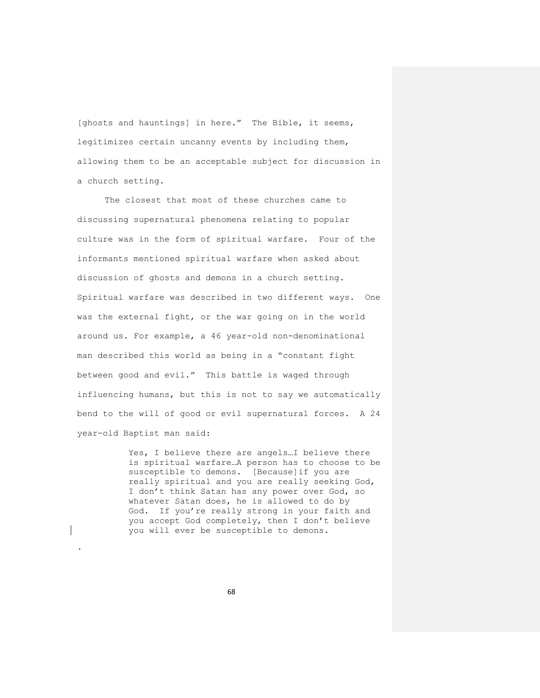[ghosts and hauntings] in here." The Bible, it seems, legitimizes certain uncanny events by including them, allowing them to be an acceptable subject for discussion in a church setting.

The closest that most of these churches came to discussing supernatural phenomena relating to popular culture was in the form of spiritual warfare. Four of the informants mentioned spiritual warfare when asked about discussion of ghosts and demons in a church setting. Spiritual warfare was described in two different ways. One was the external fight, or the war going on in the world around us. For example, a 46 year-old non-denominational man described this world as being in a "constant fight between good and evil." This battle is waged through influencing humans, but this is not to say we automatically bend to the will of good or evil supernatural forces. A 24 year-old Baptist man said:

> Yes, I believe there are angels…I believe there is spiritual warfare…A person has to choose to be susceptible to demons. [Because]if you are really spiritual and you are really seeking God, I don't think Satan has any power over God, so whatever Satan does, he is allowed to do by God. If you're really strong in your faith and you accept God completely, then I don't believe you will ever be susceptible to demons.

> > 68

.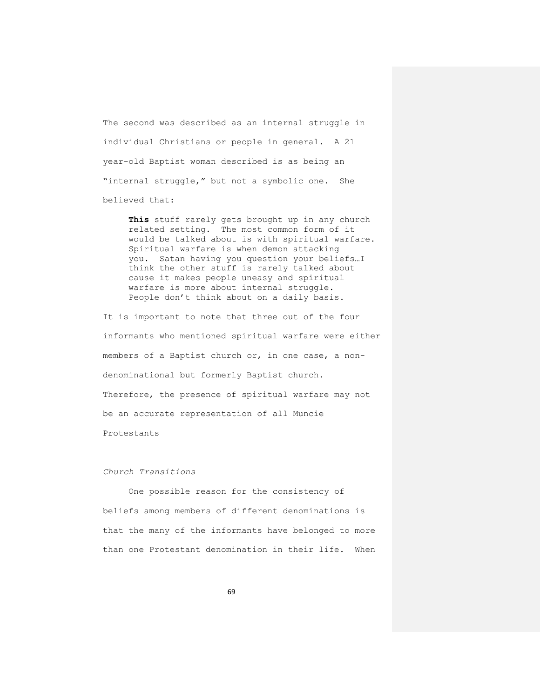The second was described as an internal struggle in individual Christians or people in general. A 21 year-old Baptist woman described is as being an "internal struggle," but not a symbolic one. She believed that:

**This** stuff rarely gets brought up in any church related setting. The most common form of it would be talked about is with spiritual warfare. Spiritual warfare is when demon attacking you. Satan having you question your beliefs…I think the other stuff is rarely talked about cause it makes people uneasy and spiritual warfare is more about internal struggle. People don't think about on a daily basis.

It is important to note that three out of the four informants who mentioned spiritual warfare were either members of a Baptist church or, in one case, a nondenominational but formerly Baptist church. Therefore, the presence of spiritual warfare may not be an accurate representation of all Muncie Protestants

### *Church Transitions*

One possible reason for the consistency of beliefs among members of different denominations is that the many of the informants have belonged to more than one Protestant denomination in their life. When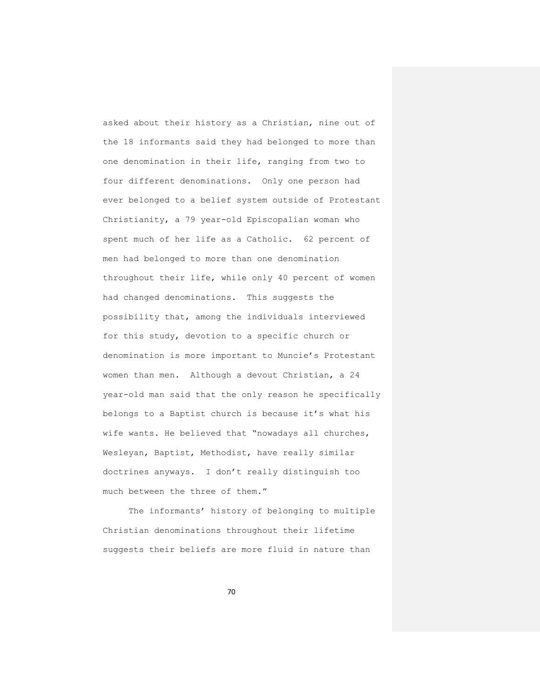asked about their history as a Christian, nine out of the 18 informants said they had belonged to more than one denomination in their life, ranging from two to four different denominations. Only one person had ever belonged to a belief system outside of Protestant Christianity, a 79 year-old Episcopalian woman who spent much of her life as a Catholic. 62 percent of men had belonged to more than one denomination throughout their life, while only 40 percent of women had changed denominations. This suggests the possibility that, among the individuals interviewed for this study, devotion to a specific church or denomination is more important to Muncie's Protestant women than men. Although a devout Christian, a 24 year-old man said that the only reason he specifically belongs to a Baptist church is because it's what his wife wants. He believed that "nowadays all churches, Wesleyan, Baptist, Methodist, have really similar doctrines anyways. I don't really distinguish too much between the three of them."

The informants' history of belonging to multiple Christian denominations throughout their lifetime suggests their beliefs are more fluid in nature than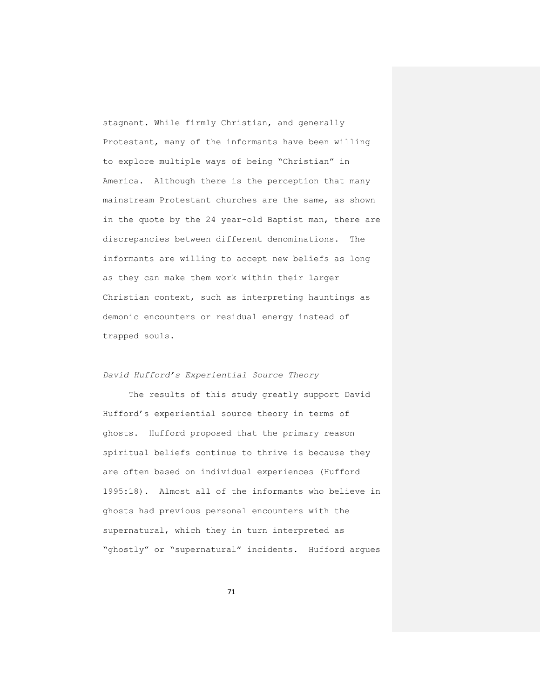stagnant. While firmly Christian, and generally Protestant, many of the informants have been willing to explore multiple ways of being "Christian" in America. Although there is the perception that many mainstream Protestant churches are the same, as shown in the quote by the 24 year-old Baptist man, there are discrepancies between different denominations. The informants are willing to accept new beliefs as long as they can make them work within their larger Christian context, such as interpreting hauntings as demonic encounters or residual energy instead of trapped souls.

# *David Hufford's Experiential Source Theory*

The results of this study greatly support David Hufford's experiential source theory in terms of ghosts. Hufford proposed that the primary reason spiritual beliefs continue to thrive is because they are often based on individual experiences (Hufford 1995:18). Almost all of the informants who believe in ghosts had previous personal encounters with the supernatural, which they in turn interpreted as "ghostly" or "supernatural" incidents. Hufford argues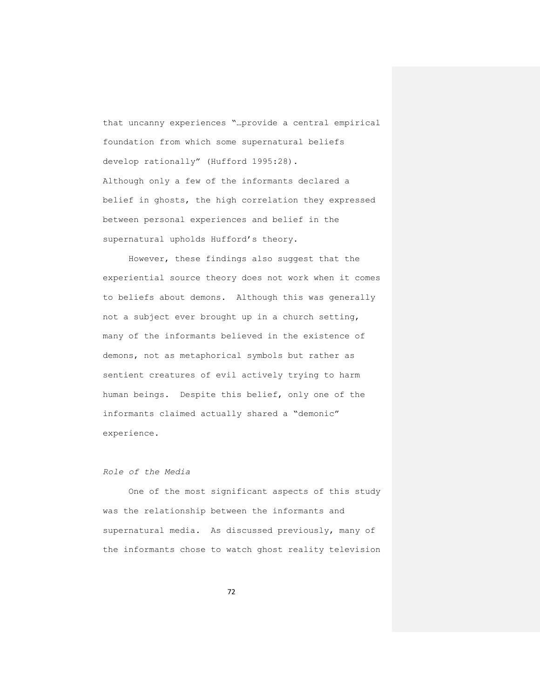that uncanny experiences "…provide a central empirical foundation from which some supernatural beliefs develop rationally" (Hufford 1995:28). Although only a few of the informants declared a belief in ghosts, the high correlation they expressed between personal experiences and belief in the supernatural upholds Hufford's theory.

However, these findings also suggest that the experiential source theory does not work when it comes to beliefs about demons. Although this was generally not a subject ever brought up in a church setting, many of the informants believed in the existence of demons, not as metaphorical symbols but rather as sentient creatures of evil actively trying to harm human beings. Despite this belief, only one of the informants claimed actually shared a "demonic" experience.

# *Role of the Media*

One of the most significant aspects of this study was the relationship between the informants and supernatural media. As discussed previously, many of the informants chose to watch ghost reality television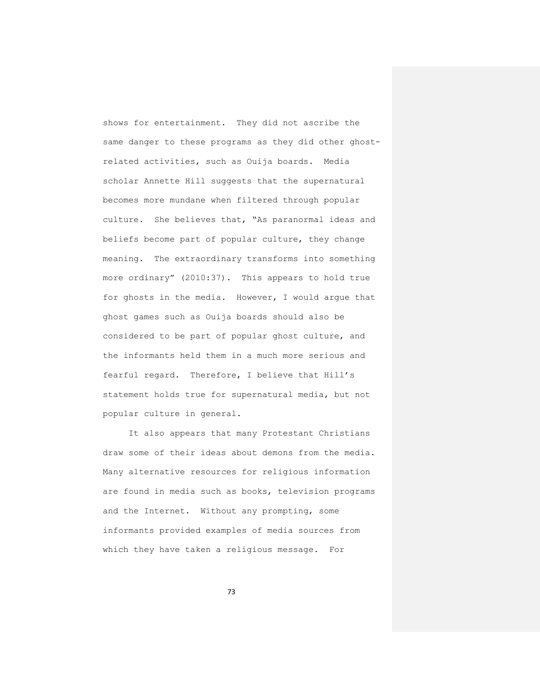shows for entertainment. They did not ascribe the same danger to these programs as they did other ghostrelated activities, such as Ouija boards. Media scholar Annette Hill suggests that the supernatural becomes more mundane when filtered through popular culture. She believes that, "As paranormal ideas and beliefs become part of popular culture, they change meaning. The extraordinary transforms into something more ordinary" (2010:37). This appears to hold true for ghosts in the media. However, I would argue that ghost games such as Ouija boards should also be considered to be part of popular ghost culture, and the informants held them in a much more serious and fearful regard. Therefore, I believe that Hill's statement holds true for supernatural media, but not popular culture in general.

It also appears that many Protestant Christians draw some of their ideas about demons from the media. Many alternative resources for religious information are found in media such as books, television programs and the Internet. Without any prompting, some informants provided examples of media sources from which they have taken a religious message. For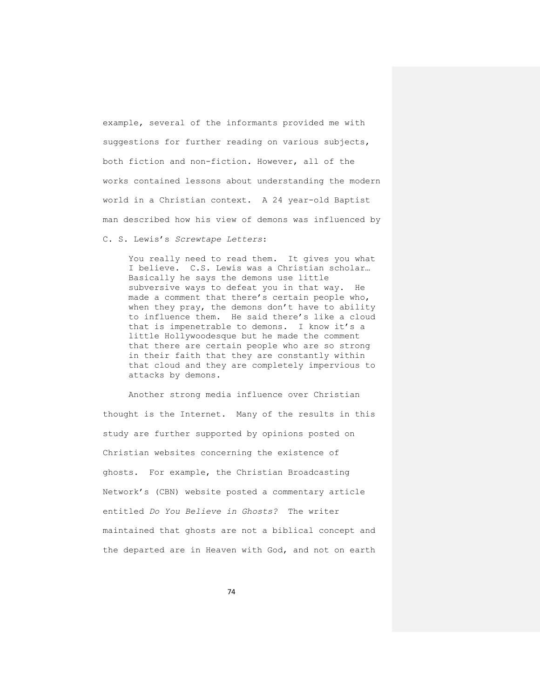example, several of the informants provided me with suggestions for further reading on various subjects, both fiction and non-fiction. However, all of the works contained lessons about understanding the modern world in a Christian context. A 24 year-old Baptist man described how his view of demons was influenced by

C. S. Lewis's *Screwtape Letters*:

You really need to read them. It gives you what I believe. C.S. Lewis was a Christian scholar… Basically he says the demons use little subversive ways to defeat you in that way. He made a comment that there's certain people who, when they pray, the demons don't have to ability to influence them. He said there's like a cloud that is impenetrable to demons. I know it's a little Hollywoodesque but he made the comment that there are certain people who are so strong in their faith that they are constantly within that cloud and they are completely impervious to attacks by demons.

Another strong media influence over Christian thought is the Internet. Many of the results in this study are further supported by opinions posted on Christian websites concerning the existence of ghosts. For example, the Christian Broadcasting Network's (CBN) website posted a commentary article entitled *Do You Believe in Ghosts?* The writer maintained that ghosts are not a biblical concept and the departed are in Heaven with God, and not on earth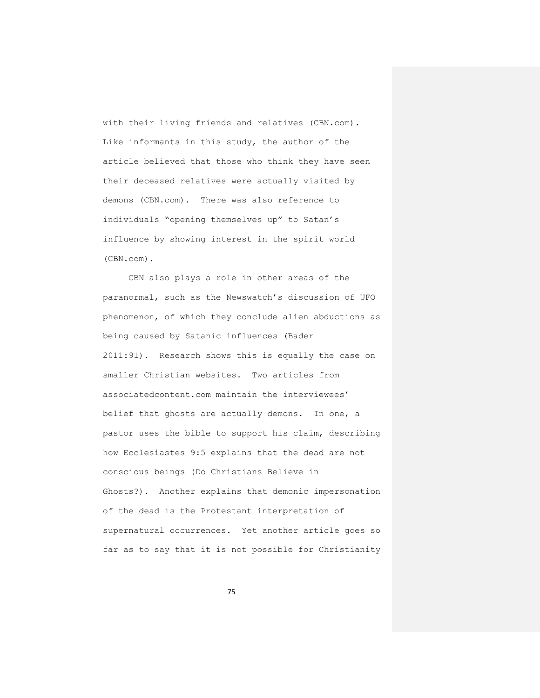with their living friends and relatives (CBN.com). Like informants in this study, the author of the article believed that those who think they have seen their deceased relatives were actually visited by demons (CBN.com). There was also reference to individuals "opening themselves up" to Satan's influence by showing interest in the spirit world (CBN.com).

CBN also plays a role in other areas of the paranormal, such as the Newswatch's discussion of UFO phenomenon, of which they conclude alien abductions as being caused by Satanic influences (Bader 2011:91). Research shows this is equally the case on smaller Christian websites. Two articles from associatedcontent.com maintain the interviewees' belief that ghosts are actually demons. In one, a pastor uses the bible to support his claim, describing how Ecclesiastes 9:5 explains that the dead are not conscious beings (Do Christians Believe in Ghosts?). Another explains that demonic impersonation of the dead is the Protestant interpretation of supernatural occurrences. Yet another article goes so far as to say that it is not possible for Christianity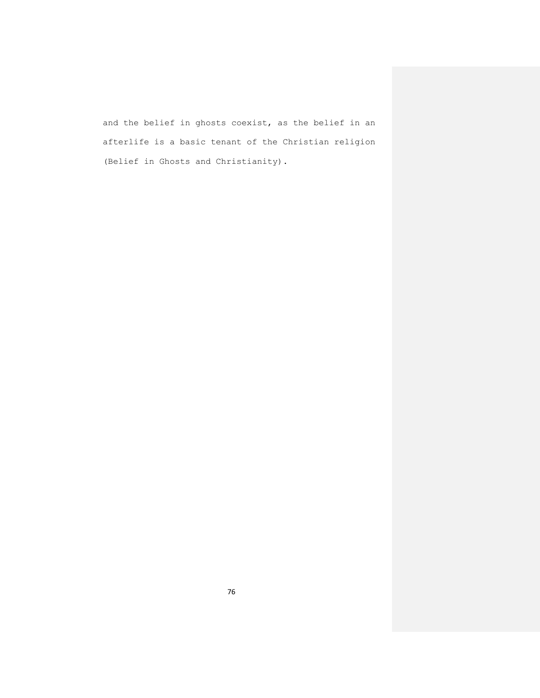and the belief in ghosts coexist, as the belief in an afterlife is a basic tenant of the Christian religion (Belief in Ghosts and Christianity).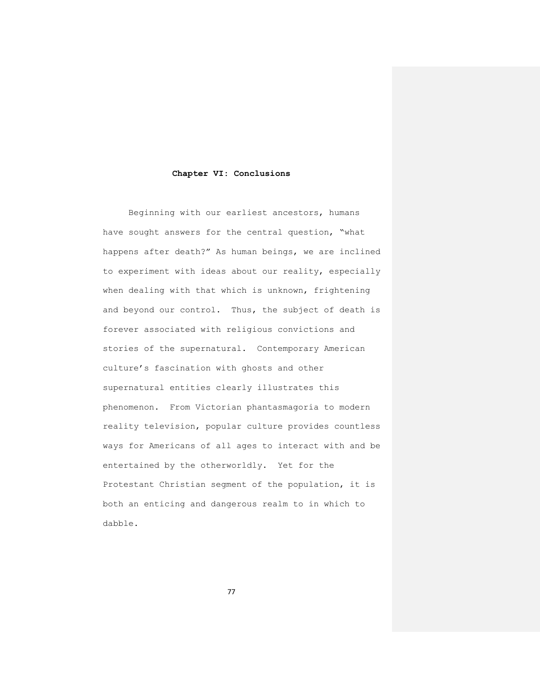#### **Chapter VI: Conclusions**

Beginning with our earliest ancestors, humans have sought answers for the central question, "what happens after death?" As human beings, we are inclined to experiment with ideas about our reality, especially when dealing with that which is unknown, frightening and beyond our control. Thus, the subject of death is forever associated with religious convictions and stories of the supernatural. Contemporary American culture's fascination with ghosts and other supernatural entities clearly illustrates this phenomenon. From Victorian phantasmagoria to modern reality television, popular culture provides countless ways for Americans of all ages to interact with and be entertained by the otherworldly. Yet for the Protestant Christian segment of the population, it is both an enticing and dangerous realm to in which to dabble.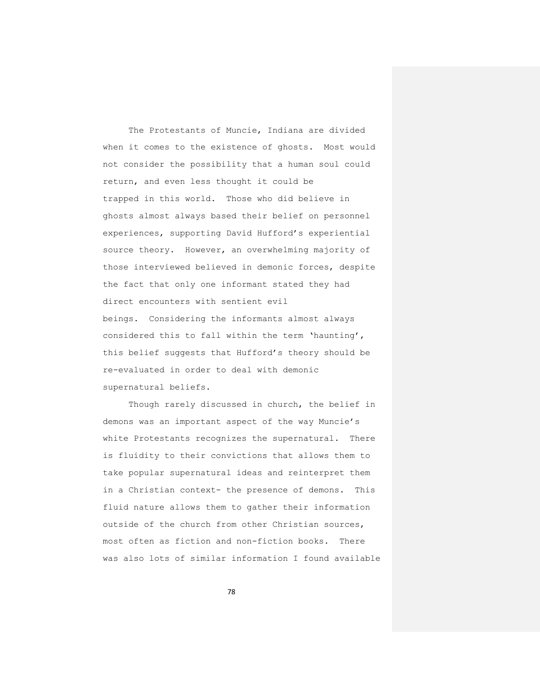The Protestants of Muncie, Indiana are divided when it comes to the existence of ghosts. Most would not consider the possibility that a human soul could return, and even less thought it could be trapped in this world. Those who did believe in ghosts almost always based their belief on personnel experiences, supporting David Hufford's experiential source theory. However, an overwhelming majority of those interviewed believed in demonic forces, despite the fact that only one informant stated they had direct encounters with sentient evil beings. Considering the informants almost always considered this to fall within the term 'haunting', this belief suggests that Hufford's theory should be re-evaluated in order to deal with demonic supernatural beliefs.

Though rarely discussed in church, the belief in demons was an important aspect of the way Muncie's white Protestants recognizes the supernatural. There is fluidity to their convictions that allows them to take popular supernatural ideas and reinterpret them in a Christian context- the presence of demons. This fluid nature allows them to gather their information outside of the church from other Christian sources, most often as fiction and non-fiction books. There was also lots of similar information I found available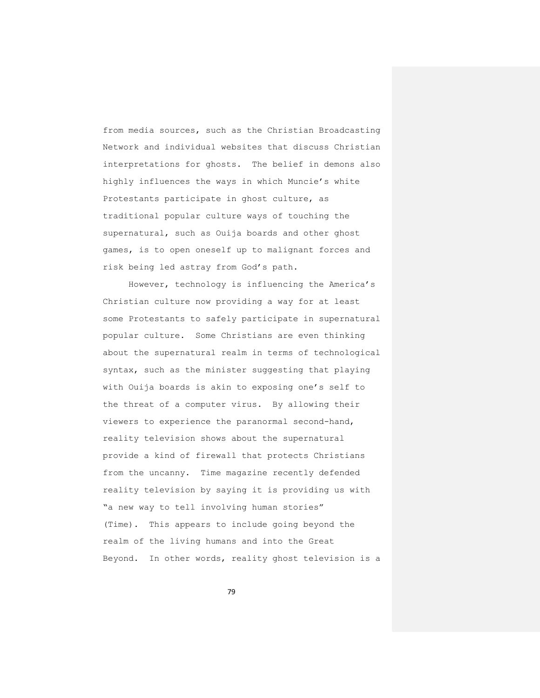from media sources, such as the Christian Broadcasting Network and individual websites that discuss Christian interpretations for ghosts. The belief in demons also highly influences the ways in which Muncie's white Protestants participate in ghost culture, as traditional popular culture ways of touching the supernatural, such as Ouija boards and other ghost games, is to open oneself up to malignant forces and risk being led astray from God's path.

However, technology is influencing the America's Christian culture now providing a way for at least some Protestants to safely participate in supernatural popular culture. Some Christians are even thinking about the supernatural realm in terms of technological syntax, such as the minister suggesting that playing with Ouija boards is akin to exposing one's self to the threat of a computer virus. By allowing their viewers to experience the paranormal second-hand, reality television shows about the supernatural provide a kind of firewall that protects Christians from the uncanny. Time magazine recently defended reality television by saying it is providing us with "a new way to tell involving human stories" (Time). This appears to include going beyond the realm of the living humans and into the Great Beyond. In other words, reality ghost television is a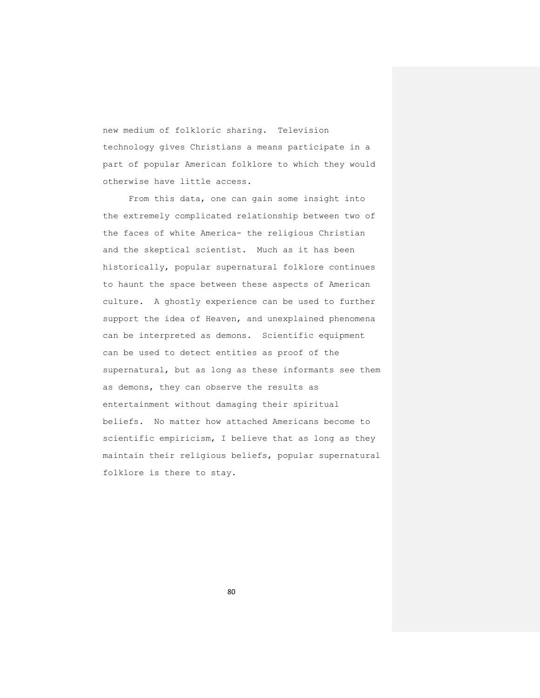new medium of folkloric sharing. Television technology gives Christians a means participate in a part of popular American folklore to which they would otherwise have little access.

From this data, one can gain some insight into the extremely complicated relationship between two of the faces of white America- the religious Christian and the skeptical scientist. Much as it has been historically, popular supernatural folklore continues to haunt the space between these aspects of American culture. A ghostly experience can be used to further support the idea of Heaven, and unexplained phenomena can be interpreted as demons. Scientific equipment can be used to detect entities as proof of the supernatural, but as long as these informants see them as demons, they can observe the results as entertainment without damaging their spiritual beliefs. No matter how attached Americans become to scientific empiricism, I believe that as long as they maintain their religious beliefs, popular supernatural folklore is there to stay.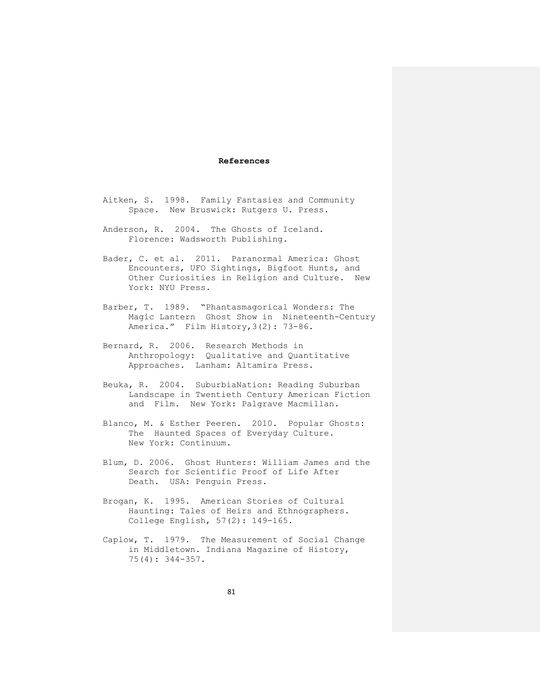## **References**

- Aitken, S. 1998. Family Fantasies and Community Space. New Bruswick: Rutgers U. Press.
- Anderson, R. 2004. The Ghosts of Iceland. Florence: Wadsworth Publishing.
- Bader, C. et al. 2011. Paranormal America: Ghost Encounters, UFO Sightings, Bigfoot Hunts, and Other Curiosities in Religion and Culture. New York: NYU Press.
- Barber, T. 1989. "Phantasmagorical Wonders: The Magic Lantern Ghost Show in Nineteenth-Century America." Film History,3(2): 73-86.
- Bernard, R. 2006. Research Methods in Anthropology: Qualitative and Quantitative Approaches. Lanham: Altamira Press.
- Beuka, R. 2004. SuburbiaNation: Reading Suburban Landscape in Twentieth Century American Fiction and Film. New York: Palgrave Macmillan.
- Blanco, M. & Esther Peeren. 2010. [Popular Ghosts:](http://www.amazon.com/Popular-Ghosts-Haunted-Everyday-Culture/dp/1441164014/ref=sr_1_1?s=books&ie=UTF8&qid=1314137920&sr=1-1) [The Haunted Spaces of Everyday Culture.](http://www.amazon.com/Popular-Ghosts-Haunted-Everyday-Culture/dp/1441164014/ref=sr_1_1?s=books&ie=UTF8&qid=1314137920&sr=1-1) New York: Continuum.
- Blum, D. 2006. Ghost Hunters: William James and the Search for Scientific Proof of Life After Death. USA: Penguin Press.
- Brogan, K. 1995. American Stories of Cultural Haunting: Tales of Heirs and Ethnographers. College English, 57(2): 149-165.
- Caplow, T. 1979. The Measurement of Social Change in Middletown. Indiana Magazine of History, 75(4): 344-357.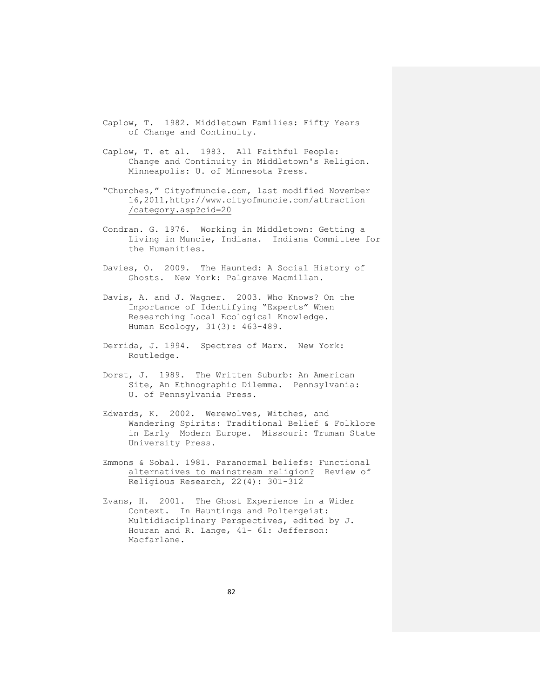Caplow, T. 1982. Middletown Families: Fifty Years of Change and Continuity.

- Caplow, T. et al. 1983. All Faithful People: Change and Continuity in Middletown's Religion. Minneapolis: U. of Minnesota Press.
- "Churches," Cityofmuncie.com, last modified November 16,2011,http://www.cityofmuncie.com/attraction /category.asp?cid=20
- Condran. G. 1976. Working in Middletown: Getting a Living in Muncie, Indiana. Indiana Committee for the Humanities.
- Davies, O. 2009. The Haunted: A Social History of Ghosts. New York: Palgrave Macmillan.
- Davis, A. and J. Wagner. 2003. Who Knows? On the Importance of Identifying "Experts" When Researching Local Ecological Knowledge. Human Ecology, 31(3): 463-489.
- Derrida, J. 1994. Spectres of Marx. New York: Routledge.
- Dorst, J. 1989. The Written Suburb: An American Site, An Ethnographic Dilemma. Pennsylvania: U. of Pennsylvania Press.
- Edwards, K. 2002. Werewolves, Witches, and Wandering Spirits: Traditional Belief & Folklore in Early Modern Europe. Missouri: Truman State University Press.
- Emmons & Sobal. 1981. [Paranormal beliefs: Functional](https://webmail.bsu.edu/owa/redir.aspx?C=4844a1c620c6481b8c66906f915d4d78&URL=http%3a%2f%2fwww.jstor.org%2fstable%2f3509764)  [alternatives to mainstream](https://webmail.bsu.edu/owa/redir.aspx?C=4844a1c620c6481b8c66906f915d4d78&URL=http%3a%2f%2fwww.jstor.org%2fstable%2f3509764) religion? Review of Religious Research, 22(4): 301-312
- Evans, H. 2001. The Ghost Experience in a Wider Context. In Hauntings and Poltergeist: Multidisciplinary Perspectives, edited by J. Houran and R. Lange, 41- 61: Jefferson: Macfarlane.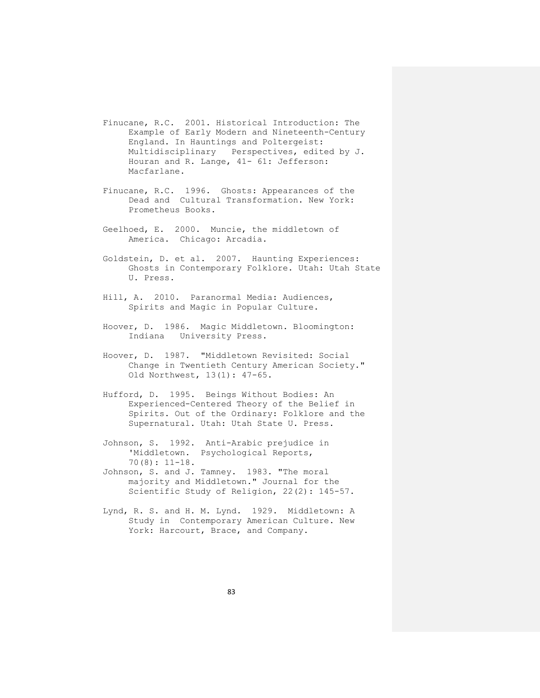- Finucane, R.C. 2001. Historical Introduction: The Example of Early Modern and Nineteenth-Century England. In Hauntings and Poltergeist: Multidisciplinary Perspectives, edited by J. Houran and R. Lange, 41- 61: Jefferson: Macfarlane.
- Finucane, R.C. 1996. Ghosts: Appearances of the Dead and Cultural Transformation. New York: Prometheus Books.
- Geelhoed, E. 2000. Muncie, the middletown of America. Chicago: Arcadia.
- Goldstein, D. et al. 2007. Haunting Experiences: Ghosts in Contemporary Folklore. Utah: Utah State U. Press.
- Hill, A. 2010. [Paranormal Media: Audiences,](http://www.amazon.com/Paranormal-Media-Audiences-Spirits-Popular/dp/0415544629/ref=sr_1_1?s=books&ie=UTF8&qid=1314138589&sr=1-1) [Spirits and Magic in Popular Culture.](http://www.amazon.com/Paranormal-Media-Audiences-Spirits-Popular/dp/0415544629/ref=sr_1_1?s=books&ie=UTF8&qid=1314138589&sr=1-1)
- Hoover, D. 1986. Magic Middletown. Bloomington: Indiana University Press.
- Hoover, D. 1987. "Middletown Revisited: Social Change in Twentieth Century American Society." Old Northwest, 13(1): 47-65.
- Hufford, D. 1995. Beings Without Bodies: An Experienced-Centered Theory of the Belief in Spirits. Out of the Ordinary: Folklore and the Supernatural. Utah: Utah State U. Press.
- Johnson, S. 1992. Anti-Arabic prejudice in 'Middletown. Psychological Reports, 70(8): 11-18.
- Johnson, S. and J. Tamney. 1983. "The moral majority and Middletown." Journal for the Scientific Study of Religion, 22(2): 145-57.
- Lynd, R. S. and H. M. Lynd. 1929. Middletown: A Study in Contemporary American Culture. New York: Harcourt, Brace, and Company.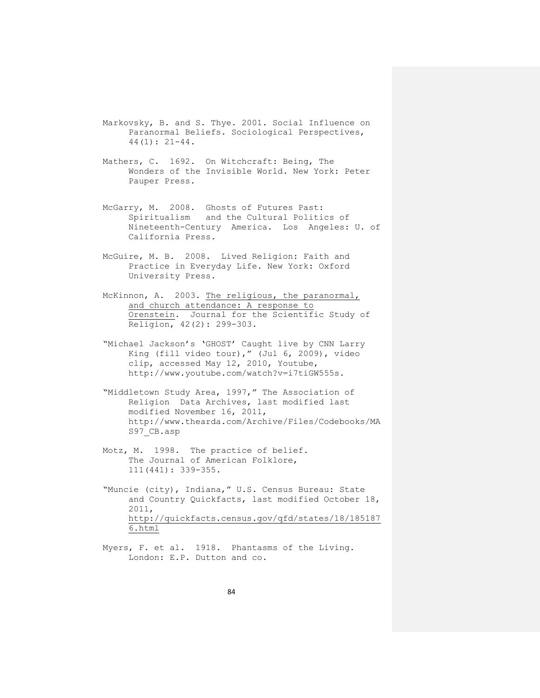- Markovsky, B. and S. Thye. 2001. Social Influence on Paranormal Beliefs. Sociological Perspectives, 44(1): 21-44.
- Mathers, C. 1692. On Witchcraft: Being, The Wonders of the Invisible World. New York: Peter Pauper Press.
- McGarry, M. 2008. Ghosts of Futures Past: Spiritualism and the Cultural Politics of Nineteenth-Century America. Los Angeles: U. of California Press.
- McGuire, M. B. 2008. Lived Religion: Faith and Practice in Everyday Life. New York: Oxford University Press.
- McKinnon, A. 2003. [The religious, the paranormal,](https://webmail.bsu.edu/owa/redir.aspx?C=4844a1c620c6481b8c66906f915d4d78&URL=http%3a%2f%2fwww.jstor.org%2fstable%2f1387845) [and church attendance: A](https://webmail.bsu.edu/owa/redir.aspx?C=4844a1c620c6481b8c66906f915d4d78&URL=http%3a%2f%2fwww.jstor.org%2fstable%2f1387845) response to Orenstein. Journal for the Scientific Study of Religion, 42(2): 299-303.
- "Michael Jackson's 'GHOST' Caught live by CNN Larry King (fill video tour)," (Jul 6, 2009), video clip, accessed May 12, 2010, Youtube, http://www.youtube.com/watch?v=i7tiGW555s.
- "Middletown Study Area, 1997," The Association of Religion Data Archives, last modified last modified November 16, 2011, http://www.thearda.com/Archive/Files/Codebooks/MA S97\_CB.asp
- Motz, M. 1998. The practice of belief. The Journal of American Folklore, 111(441): 339-355.
- "Muncie (city), Indiana," U.S. Census Bureau: State and Country Quickfacts, last modified October 18, 2011, [http://quickfacts.census.gov/qfd/states/18/185187](https://webmail.bsu.edu/owa/redir.aspx?C=4844a1c620c6481b8c66906f915d4d78&URL=http%3a%2f%2fquickfacts.census.gov%2fqfd%2fstates%2f18%2f1851876.html) [6.html](https://webmail.bsu.edu/owa/redir.aspx?C=4844a1c620c6481b8c66906f915d4d78&URL=http%3a%2f%2fquickfacts.census.gov%2fqfd%2fstates%2f18%2f1851876.html)
- Myers, F. et al. 1918. Phantasms of the Living. London: E.P. Dutton and co.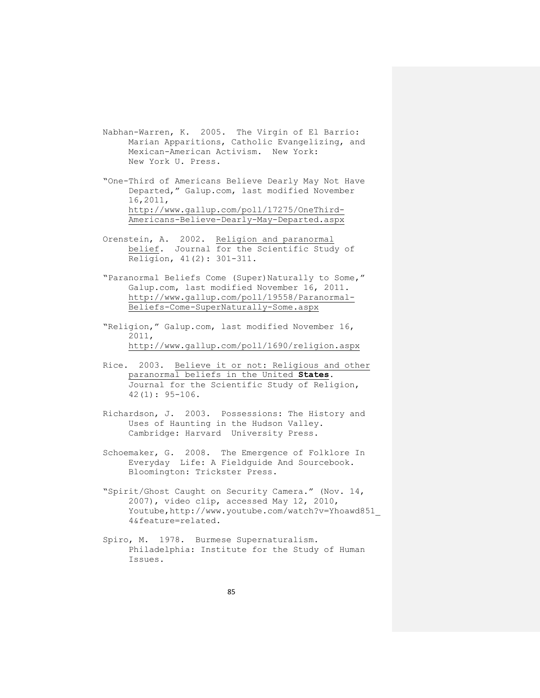- Nabhan-Warren, K. 2005. The Virgin of El Barrio: Marian Apparitions, Catholic Evangelizing, and Mexican-American Activism. New York: New York U. Press.
- "One-Third of Americans Believe Dearly May Not Have Departed," Galup.com, last modified November 16,2011, [http://www.gallup.com/poll/17275/OneThird-](http://www.gallup.com/poll/17275/OneThird-Americans-)[Americans-B](http://www.gallup.com/poll/17275/OneThird-Americans-)elieve-Dearly-May-Departed.aspx
- Orenstein, A. 2002. [Religion and paranormal](https://webmail.bsu.edu/owa/redir.aspx?C=4844a1c620c6481b8c66906f915d4d78&URL=http%3a%2f%2fwww.jstor.org%2fstable%2f1388010) [belief.](https://webmail.bsu.edu/owa/redir.aspx?C=4844a1c620c6481b8c66906f915d4d78&URL=http%3a%2f%2fwww.jstor.org%2fstable%2f1388010) Journal for the Scientific Study of Religion, 41(2): 301-311.
- "Paranormal Beliefs Come (Super)Naturally to Some," Galup.com, last modified November 16, 2011. [http://www.gallup.com/poll/19558/Paranormal-](http://www.gallup.com/poll/19558/Paranormal-Beliefs-Come-)[Beliefs-Come-S](http://www.gallup.com/poll/19558/Paranormal-Beliefs-Come-)uperNaturally-Some.aspx
- "Religion," Galup.com, last modified November 16, 2011, [http://www.gallup.com/poll/1690/religion.aspx](https://webmail.bsu.edu/owa/redir.aspx?C=4844a1c620c6481b8c66906f915d4d78&URL=http%3a%2f%2fwww.gallup.com%2fpoll%2f1690%2freligion.aspx)
- Rice. 2003. [Believe it or not: Religious and other](https://webmail.bsu.edu/owa/redir.aspx?C=4844a1c620c6481b8c66906f915d4d78&URL=http%3a%2f%2fwww.jstor.org%2fstable%2f1387987)  [paranormal beliefs in the United](https://webmail.bsu.edu/owa/redir.aspx?C=4844a1c620c6481b8c66906f915d4d78&URL=http%3a%2f%2fwww.jstor.org%2fstable%2f1387987) **States.** Journal for the Scientific Study of Religion, 42(1): 95-106.
- Richardson, J. 2003. Possessions: The History and Uses of Haunting in the Hudson Valley. Cambridge: Harvard University Press.
- Schoemaker, G. 2008. The Emergence of Folklore In Everyday Life: A Fieldguide And Sourcebook. Bloomington: Trickster Press.
- "Spirit/Ghost Caught on Security Camera." (Nov. 14, 2007), video clip, accessed May 12, 2010, Youtube,http://www.youtube.com/watch?v=Yhoawd851\_ 4&feature=related.
- Spiro, M. 1978. Burmese Supernaturalism. Philadelphia: Institute for the Study of Human Issues.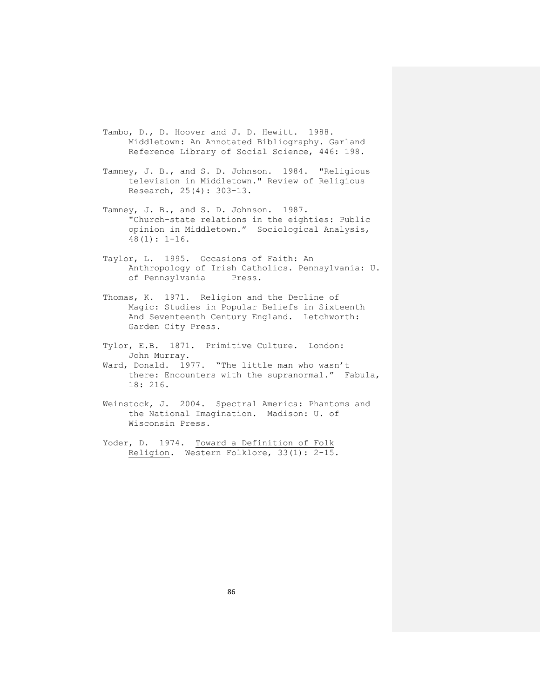- Tambo, D., D. Hoover and J. D. Hewitt. 1988. Middletown: An Annotated Bibliography. Garland Reference Library of Social Science, 446: 198.
- Tamney, J. B., and S. D. Johnson. 1984. "Religious television in Middletown." Review of Religious Research, 25(4): 303-13.
- Tamney, J. B., and S. D. Johnson. 1987. "Church-state relations in the eighties: Public opinion in Middletown." Sociological Analysis, 48(1): 1-16.
- Taylor, L. 1995. Occasions of Faith: An Anthropology of Irish Catholics. Pennsylvania: U. of Pennsylvania Press.
- Thomas, K. 1971. Religion and the Decline of Magic: Studies in Popular Beliefs in Sixteenth And Seventeenth Century England. Letchworth: Garden City Press.
- Tylor, E.B. 1871. Primitive Culture. London: John Murray.
- Ward, Donald. 1977. "The little man who wasn't there: Encounters with the supranormal." Fabula, 18: 216.
- Weinstock, J. 2004. Spectral America: Phantoms and the National Imagination. Madison: U. of Wisconsin Press.
- Yoder, D. 1974. Toward a Definition of Folk Religion. Western Folklore, 33(1): 2-15.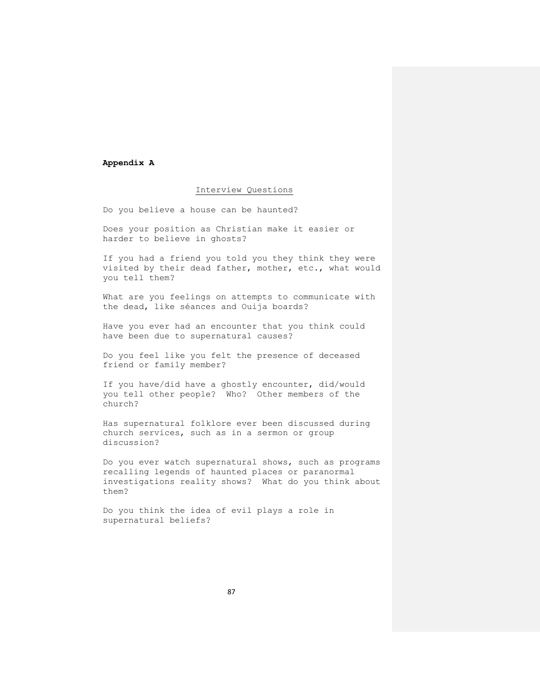#### **Appendix A**

## Interview Questions

Do you believe a house can be haunted?

Does your position as Christian make it easier or harder to believe in ghosts?

If you had a friend you told you they think they were visited by their dead father, mother, etc., what would you tell them?

What are you feelings on attempts to communicate with the dead, like séances and Ouija boards?

Have you ever had an encounter that you think could have been due to supernatural causes?

Do you feel like you felt the presence of deceased friend or family member?

If you have/did have a ghostly encounter, did/would you tell other people? Who? Other members of the church?

Has supernatural folklore ever been discussed during church services, such as in a sermon or group discussion?

Do you ever watch supernatural shows, such as programs recalling legends of haunted places or paranormal investigations reality shows? What do you think about them?

Do you think the idea of evil plays a role in supernatural beliefs?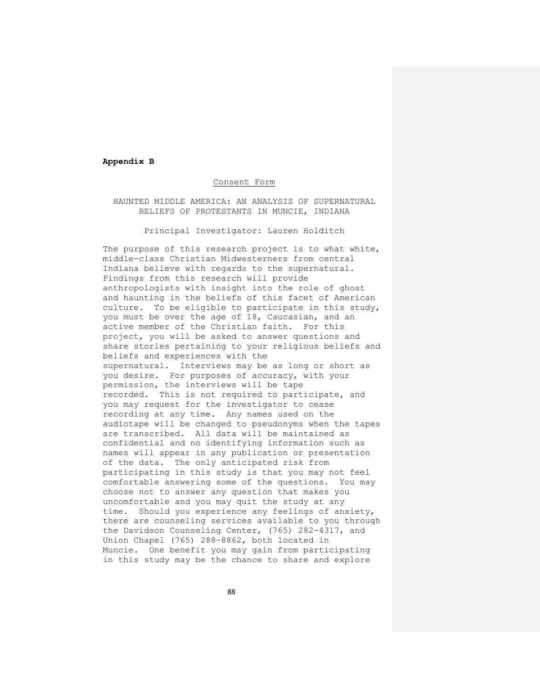#### **Appendix B**

## Consent Form

HAUNTED MIDDLE AMERICA: AN ANALYSIS OF SUPERNATURAL BELIEFS OF PROTESTANTS IN MUNCIE, INDIANA

Principal Investigator: Lauren Holditch

The purpose of this research project is to what white, middle-class Christian Midwesterners from central Indiana believe with regards to the supernatural. Findings from this research will provide anthropologists with insight into the role of ghost and haunting in the beliefs of this facet of American culture. To be eligible to participate in this study, you must be over the age of 18, Caucasian, and an active member of the Christian faith. For this project, you will be asked to answer questions and share stories pertaining to your religious beliefs and beliefs and experiences with the supernatural. Interviews may be as long or short as you desire. For purposes of accuracy, with your permission, the interviews will be tape recorded. This is not required to participate, and you may request for the investigator to cease recording at any time. Any names used on the audiotape will be changed to pseudonyms when the tapes are transcribed. All data will be maintained as confidential and no identifying information such as names will appear in any publication or presentation of the data. The only anticipated risk from participating in this study is that you may not feel comfortable answering some of the questions. You may choose not to answer any question that makes you uncomfortable and you may quit the study at any time. Should you experience any feelings of anxiety, there are counseling services available to you through the Davidson Counseling Center, (765) 282-4317, and Union Chapel (765) 288-8862, both located in Muncie. One benefit you may gain from participating in this study may be the chance to share and explore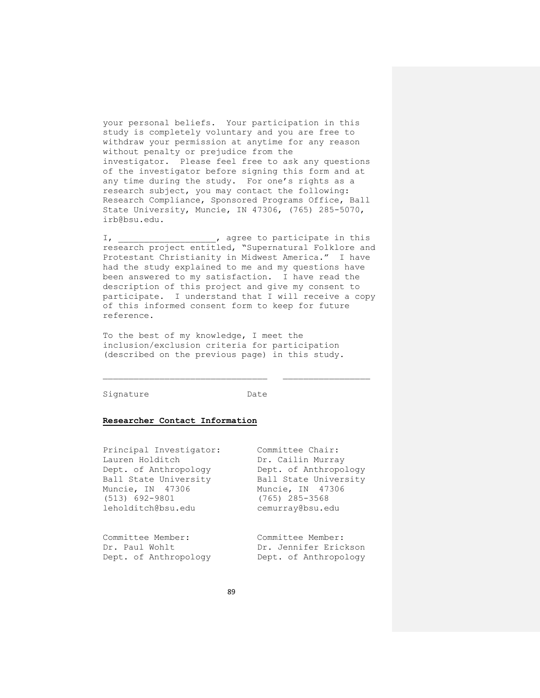your personal beliefs. Your participation in this study is completely voluntary and you are free to withdraw your permission at anytime for any reason without penalty or prejudice from the investigator. Please feel free to ask any questions of the investigator before signing this form and at any time during the study. For one's rights as a research subject, you may contact the following: Research Compliance, Sponsored Programs Office, Ball State University, Muncie, IN 47306, (765) 285-5070, [irb@bsu.edu.](https://webmail.bsu.edu/owa/redir.aspx?C=4844a1c620c6481b8c66906f915d4d78&URL=mailto%3airb%40bsu.edu)

I, agree to participate in this research project entitled, "Supernatural Folklore and Protestant Christianity in Midwest America." I have had the study explained to me and my questions have been answered to my satisfaction. I have read the description of this project and give my consent to participate. I understand that I will receive a copy of this informed consent form to keep for future reference.

To the best of my knowledge, I meet the inclusion/exclusion criteria for participation (described on the previous page) in this study.

Signature Date

#### **Researcher Contact Information**

| Principal Investigator:<br>Lauren Holditch<br>Dept. of Anthropology | Committee Chair:<br>Dr. Cailin Murray<br>Dept. of Anthropology |                       |                       |
|---------------------------------------------------------------------|----------------------------------------------------------------|-----------------------|-----------------------|
|                                                                     |                                                                | Ball State University | Ball State University |
|                                                                     |                                                                | Muncie, IN 47306      | Muncie, IN 47306      |
| $(513) 692 - 9801$                                                  | (765) 285-3568                                                 |                       |                       |
| leholditch@bsu.edu                                                  | cemurray@bsu.edu                                               |                       |                       |
| Committee Member:                                                   | Committee Member:                                              |                       |                       |
|                                                                     |                                                                |                       |                       |

Dr. Paul Wohlt **Dr. Jennifer Erickson** Dept. of Anthropology Dept. of Anthropology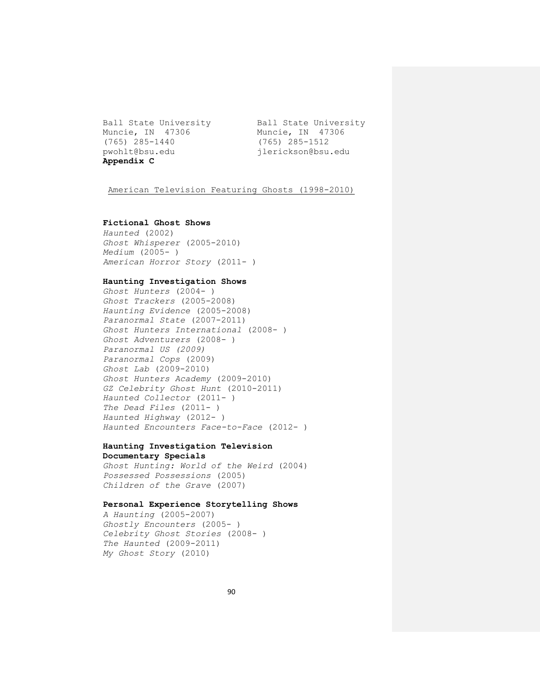Muncie, IN 47306 Muncie, IN 47306 (765) 285-1440 (765) 285-1512 pwohlt@bsu.edu jlerickson@bsu.edu **Appendix C**

Ball State University **Ball State University** 

American Television Featuring Ghosts (1998-2010)

## **Fictional Ghost Shows**

*Haunted* (2002) *Ghost Whisperer* (2005-2010) *Medium* (2005- ) *American Horror Story* (2011- )

## **Haunting Investigation Shows**

*Ghost Hunters* (2004- ) *Ghost Trackers* (2005-2008) *Haunting Evidence* (2005-2008) *Paranormal State* (2007-2011) *Ghost Hunters International* (2008- ) *Ghost Adventurers* (2008- ) *Paranormal US (2009) Paranormal Cops* (2009) *Ghost Lab* (2009-2010) *Ghost Hunters Academy* (2009-2010) *GZ Celebrity Ghost Hunt* (2010-2011) *Haunted Collector* (2011- ) *The Dead Files* (2011- ) *Haunted Highway* (2012- ) *Haunted Encounters Face-to-Face* (2012- )

# **Haunting Investigation Television Documentary Specials**

*Ghost Hunting: World of the Weird* (2004) *Possessed Possessions* (2005) *Children of the Grave* (2007)

## **Personal Experience Storytelling Shows**

*A Haunting* (2005-2007) *Ghostly Encounters* (2005- ) *Celebrity Ghost Stories* (2008- ) *The Haunted* (2009-2011) *My Ghost Story* (2010)